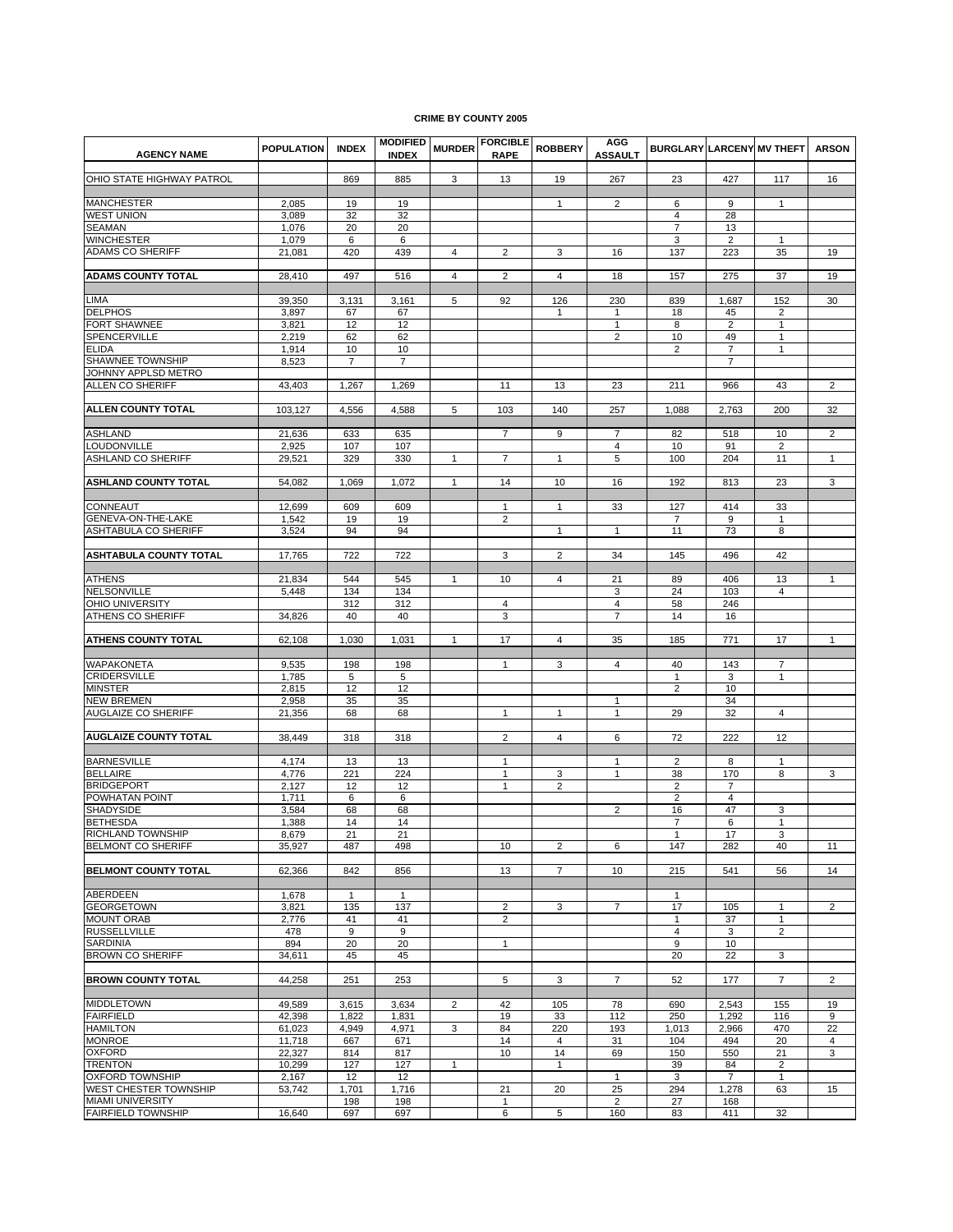## **CRIME BY COUNTY 2005**

| <b>AGENCY NAME</b>                                   | <b>POPULATION</b> | <b>INDEX</b>   | <b>MODIFIED</b><br><b>INDEX</b> | <b>MURDER</b>  | <b>FORCIBLE</b><br><b>RAPE</b> | <b>ROBBERY</b> | AGG<br><b>ASSAULT</b> | <b>BURGLARY LARCENY MV THEFT</b> |                |                      | <b>ARSON</b>   |
|------------------------------------------------------|-------------------|----------------|---------------------------------|----------------|--------------------------------|----------------|-----------------------|----------------------------------|----------------|----------------------|----------------|
| OHIO STATE HIGHWAY PATROL                            |                   | 869            | 885                             | 3              | 13                             | 19             | 267                   | 23                               | 427            | 117                  | 16             |
| MANCHESTER                                           | 2,085             | 19             | 19                              |                |                                | $\mathbf{1}$   | $\overline{2}$        | 6                                | 9              | $\mathbf{1}$         |                |
| <b>WEST UNION</b>                                    | 3,089             | 32             | 32                              |                |                                |                |                       | 4                                | 28             |                      |                |
| <b>SEAMAN</b>                                        | 1,076             | 20             | 20                              |                |                                |                |                       | $\overline{7}$                   | 13             |                      |                |
| <b>WINCHESTER</b>                                    | 1,079             | 6              | 6                               |                |                                |                |                       | 3                                | $\overline{2}$ | 1                    |                |
| <b>ADAMS CO SHERIFF</b>                              | 21,081            | 420            | 439                             | 4              | 2                              | 3              | 16                    | 137                              | 223            | 35                   | 19             |
| <b>ADAMS COUNTY TOTAL</b>                            | 28,410            | 497            | 516                             | 4              | $\overline{2}$                 | $\overline{4}$ | 18                    | 157                              | 275            | 37                   | 19             |
| LIMA                                                 | 39,350            | 3,131          | 3,161                           | 5              | 92                             | 126            | 230                   | 839                              | 1,687          | 152                  | 30             |
| <b>DELPHOS</b>                                       | 3,897             | 67             | 67                              |                |                                | $\mathbf{1}$   | 1                     | 18                               | 45             | $\overline{2}$       |                |
| FORT SHAWNEE                                         | 3,821             | 12             | 12                              |                |                                |                | 1                     | 8                                | 2              | $\mathbf{1}$         |                |
| SPENCERVILLE                                         | 2,219             | 62             | 62                              |                |                                |                | $\overline{2}$        | 10                               | 49             | 1                    |                |
| <b>ELIDA</b>                                         | 1,914             | 10             | 10                              |                |                                |                |                       | $\overline{2}$                   | $\overline{7}$ | 1                    |                |
| SHAWNEE TOWNSHIP                                     | 8,523             | $\overline{7}$ | 7                               |                |                                |                |                       |                                  | $\overline{7}$ |                      |                |
| JOHNNY APPLSD METRO<br>ALLEN CO SHERIFF              | 43.403            | 1,267          | 1,269                           |                | 11                             | 13             | 23                    | 211                              | 966            | 43                   | $\overline{2}$ |
|                                                      |                   |                |                                 |                |                                |                |                       |                                  |                |                      |                |
| ALLEN COUNTY TOTAL                                   | 103,127           | 4,556          | 4,588                           | 5              | 103                            | 140            | 257                   | 1,088                            | 2,763          | 200                  | 32             |
|                                                      |                   |                |                                 |                |                                |                |                       |                                  |                |                      |                |
| <b>ASHLAND</b>                                       | 21,636            | 633            | 635                             |                | $\overline{7}$                 | 9              | $\overline{7}$        | 82                               | 518            | 10                   | $\overline{2}$ |
| <b>LOUDONVILLE</b><br>ASHLAND CO SHERIFF             | 2,925<br>29,521   | 107<br>329     | 107<br>330                      | 1              | $\overline{7}$                 | $\mathbf{1}$   | $\overline{4}$<br>5   | 10<br>100                        | 91<br>204      | $\overline{2}$<br>11 | $\mathbf{1}$   |
|                                                      |                   |                |                                 |                |                                |                |                       |                                  |                |                      |                |
| <b>ASHLAND COUNTY TOTAL</b>                          | 54,082            | 1,069          | 1,072                           | 1              | 14                             | 10             | 16                    | 192                              | 813            | 23                   | 3              |
| CONNEAUT                                             | 12,699            | 609            | 609                             |                | $\mathbf{1}$                   | $\mathbf{1}$   | 33                    | 127                              | 414            | 33                   |                |
| GENEVA-ON-THE-LAKE                                   | 1,542             | 19             | 19                              |                | $\overline{2}$                 |                |                       | $\overline{7}$                   | 9              | $\mathbf{1}$         |                |
| <b>ASHTABULA CO SHERIFF</b>                          | 3,524             | 94             | 94                              |                |                                | $\mathbf{1}$   | $\mathbf{1}$          | 11                               | 73             | 8                    |                |
| <b>ASHTABULA COUNTY TOTAL</b>                        | 17,765            | 722            | 722                             |                | 3                              | $\overline{c}$ | 34                    | 145                              | 496            | 42                   |                |
|                                                      |                   |                |                                 |                |                                |                |                       |                                  |                |                      |                |
| <b>ATHENS</b>                                        | 21,834            | 544            | 545                             | 1              | 10                             | 4              | 21                    | 89                               | 406            | 13                   | $\mathbf{1}$   |
| NELSONVILLE                                          | 5,448             | 134            | 134                             |                |                                |                | 3                     | 24                               | 103            | 4                    |                |
| <b>OHIO UNIVERSITY</b><br>ATHENS CO SHERIFF          | 34,826            | 312<br>40      | 312<br>40                       |                | 4<br>3                         |                | 4<br>$\overline{7}$   | 58<br>14                         | 246<br>16      |                      |                |
|                                                      |                   |                |                                 |                |                                |                |                       |                                  |                |                      |                |
| <b>ATHENS COUNTY TOTAL</b>                           | 62,108            | 1,030          | 1,031                           | 1              | 17                             | 4              | 35                    | 185                              | 771            | 17                   | $\mathbf{1}$   |
| WAPAKONETA                                           | 9,535             | 198            | 198                             |                | -1                             | 3              | $\overline{4}$        | 40                               | 143            | 7                    |                |
| <b>CRIDERSVILLE</b>                                  | 1,785             | 5              | 5                               |                |                                |                |                       | $\mathbf{1}$                     | 3              | 1                    |                |
| MINSTER                                              | 2,815             | 12             | 12                              |                |                                |                |                       | $\overline{2}$                   | 10             |                      |                |
| <b>NEW BREMEN</b>                                    | 2,958             | 35             | 35                              |                |                                |                | $\mathbf{1}$          |                                  | 34             |                      |                |
| <b>AUGLAIZE CO SHERIFF</b>                           | 21,356            | 68             | 68                              |                | $\mathbf{1}$                   | 1              | $\mathbf{1}$          | 29                               | 32             | $\overline{4}$       |                |
| <b>AUGLAIZE COUNTY TOTAL</b>                         | 38,449            | 318            | 318                             |                | $\overline{2}$                 | 4              | 6                     | 72                               | 222            | 12                   |                |
|                                                      |                   |                |                                 |                |                                |                |                       |                                  |                |                      |                |
| <b>BARNESVILLE</b>                                   | 4,174             | 13             | 13                              |                | $\mathbf{1}$                   |                | 1                     | 2                                | 8              | 1                    |                |
| <b>BELLAIRE</b>                                      | 4,776             | 221            | 224                             |                | $\mathbf{1}$                   | 3              | $\mathbf{1}$          | 38                               | 170            | 8                    | 3              |
| <b>BRIDGEPORT</b>                                    | 2,127             | 12             | 12                              |                | $\mathbf{1}$                   | 2              |                       | $\overline{2}$                   | 7              |                      |                |
| POWHATAN POINT                                       | 1,711             | 6              | 6                               |                |                                |                |                       | $\overline{2}$                   | $\overline{4}$ |                      |                |
| <b>SHADYSIDE</b><br><b>BETHESDA</b>                  | 3,584             | 68             | 68                              |                |                                |                | $\overline{2}$        | 16                               | 47             | 3                    |                |
| RICHLAND TOWNSHIP                                    | 1,388<br>8,679    | 14<br>21       | 14<br>21                        |                |                                |                |                       | $\overline{7}$<br>$\mathbf{1}$   | 6<br>17        | $\mathbf{1}$<br>3    |                |
| BELMONT CO SHERIFF                                   | 35,927            | 487            | 498                             |                | 10                             | $\overline{2}$ | 6                     | 147                              | 282            | 40                   | 11             |
|                                                      |                   |                |                                 |                |                                |                |                       |                                  |                |                      |                |
| <b>BELMONT COUNTY TOTAL</b>                          | 62,366            | 842            | 856                             |                | 13                             | $\overline{7}$ | 10                    | 215                              | 541            | 56                   | 14             |
| ABERDEEN                                             | 1,678             | $\mathbf{1}$   | $\mathbf{1}$                    |                |                                |                |                       | $\mathbf{1}$                     |                |                      |                |
| <b>GEORGETOWN</b>                                    | 3,821             | 135            | 137                             |                | $\overline{2}$                 | 3              | 7                     | 17                               | 105            | 1                    | $\overline{2}$ |
| <b>MOUNT ORAB</b>                                    | 2,776             | 41             | 41                              |                | 2                              |                |                       | $\mathbf{1}$                     | 37             | 1                    |                |
| <b>RUSSELLVILLE</b>                                  | 478               | 9              | 9                               |                |                                |                |                       | $\overline{4}$                   | 3              | $\overline{2}$       |                |
| SARDINIA                                             | 894               | 20             | 20                              |                | $\mathbf{1}$                   |                |                       | 9                                | 10             |                      |                |
| <b>BROWN CO SHERIFF</b>                              | 34,611            | 45             | 45                              |                |                                |                |                       | 20                               | 22             | 3                    |                |
| <b>BROWN COUNTY TOTAL</b>                            | 44,258            | 251            | 253                             |                | 5                              | 3              | $\overline{7}$        | 52                               | 177            | $\overline{7}$       | $\overline{2}$ |
| <b>MIDDLETOWN</b>                                    | 49,589            | 3,615          | 3,634                           | $\overline{2}$ | 42                             | 105            | 78                    | 690                              | 2,543          | 155                  | 19             |
| <b>FAIRFIELD</b>                                     | 42,398            | 1,822          | 1,831                           |                | 19                             | 33             | 112                   | 250                              | 1,292          | 116                  | 9              |
| <b>HAMILTON</b>                                      | 61,023            | 4,949          | 4,971                           | 3              | 84                             | 220            | 193                   | 1,013                            | 2,966          | 470                  | 22             |
| <b>MONROE</b>                                        | 11,718            | 667            | 671                             |                | 14                             | $\overline{4}$ | 31                    | 104                              | 494            | 20                   | 4              |
| <b>OXFORD</b>                                        | 22,327            | 814            | 817                             |                | 10                             | 14             | 69                    | 150                              | 550            | 21                   | 3              |
| TRENTON                                              | 10,299            | 127            | 127                             | $\mathbf{1}$   |                                | $\mathbf{1}$   |                       | 39                               | 84             | 2                    |                |
| OXFORD TOWNSHIP                                      | 2,167             | 12             | 12                              |                |                                |                | $\mathbf{1}$          | 3                                | $\overline{7}$ | $\mathbf{1}$         |                |
| WEST CHESTER TOWNSHIP                                | 53,742            | 1,701          | 1,716                           |                | 21                             | 20             | 25                    | 294                              | 1,278          | 63                   | 15             |
| <b>MIAMI UNIVERSITY</b><br><b>FAIRFIELD TOWNSHIP</b> | 16,640            | 198<br>697     | 198<br>697                      |                | $\mathbf{1}$<br>6              | 5              | $\overline{2}$<br>160 | 27<br>83                         | 168<br>411     | 32                   |                |
|                                                      |                   |                |                                 |                |                                |                |                       |                                  |                |                      |                |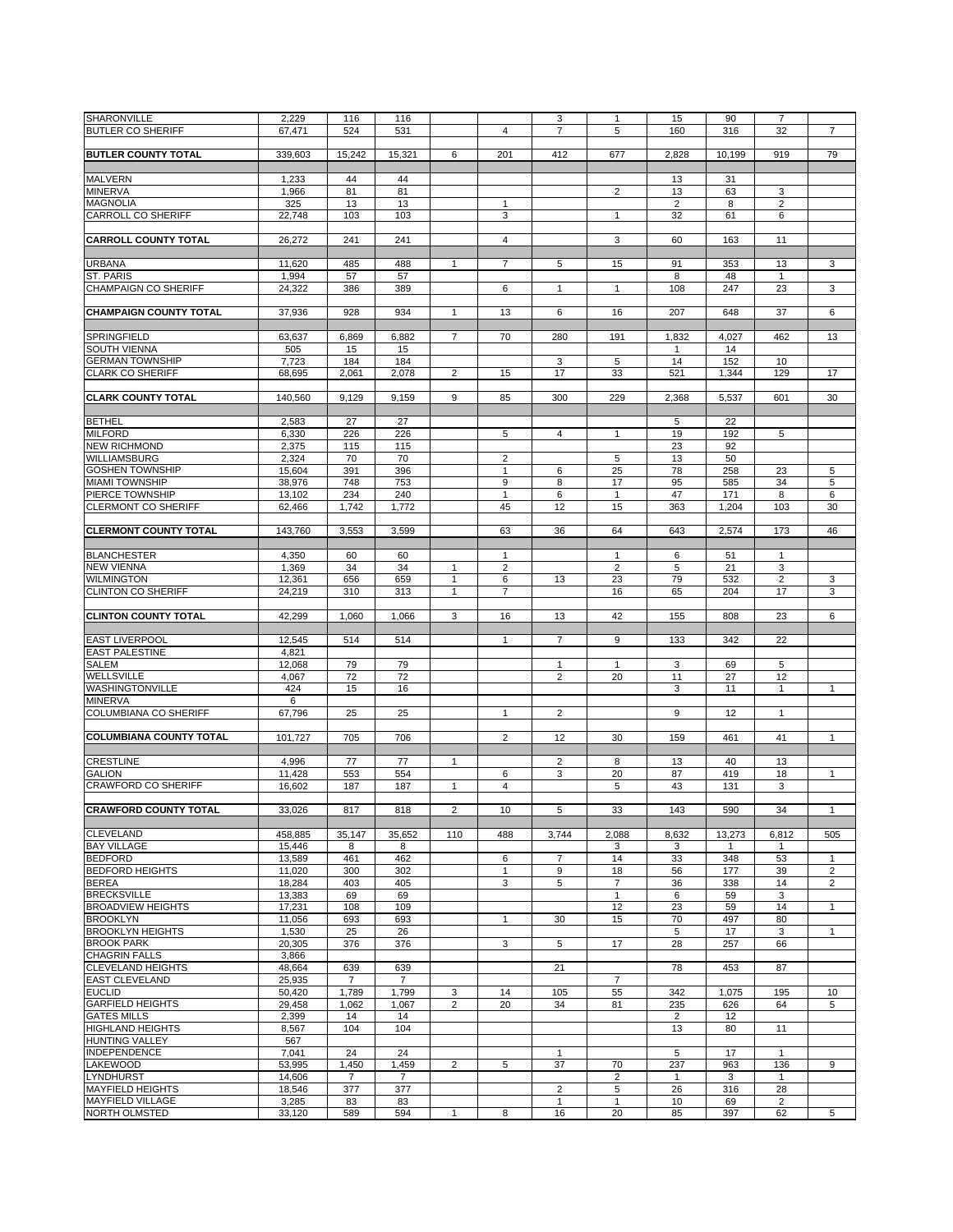| <b>SHARONVILLE</b>             | 2,229   | 116            | 116            |                |                | 3              | 1              | 15             | 90     | $\overline{7}$ |                |
|--------------------------------|---------|----------------|----------------|----------------|----------------|----------------|----------------|----------------|--------|----------------|----------------|
| <b>BUTLER CO SHERIFF</b>       | 67,471  | 524            | 531            |                | $\overline{4}$ | $\overline{7}$ | 5              | 160            | 316    | 32             | $\overline{7}$ |
|                                |         |                |                |                |                |                |                |                |        |                |                |
| <b>BUTLER COUNTY TOTAL</b>     | 339,603 | 15,242         | 15,321         | 6              | 201            | 412            | 677            | 2,828          | 10.199 | 919            | 79             |
|                                |         |                |                |                |                |                |                |                |        |                |                |
|                                |         |                |                |                |                |                |                |                |        |                |                |
| <b>MALVERN</b>                 | 1,233   | 44             | 44             |                |                |                |                | 13             | 31     |                |                |
| <b>MINERVA</b>                 | 1,966   | 81             | 81             |                |                |                | $\overline{2}$ | 13             | 63     | 3              |                |
| <b>MAGNOLIA</b>                | 325     | 13             | 13             |                | $\mathbf{1}$   |                |                | $\overline{2}$ | 8      | 2              |                |
| <b>CARROLL CO SHERIFF</b>      | 22,748  | 103            | 103            |                | 3              |                | 1              | 32             | 61     | 6              |                |
|                                |         |                |                |                |                |                |                |                |        |                |                |
|                                |         |                |                |                |                |                |                |                |        |                |                |
| <b>CARROLL COUNTY TOTAL</b>    | 26,272  | 241            | 241            |                | $\overline{4}$ |                | 3              | 60             | 163    | 11             |                |
|                                |         |                |                |                |                |                |                |                |        |                |                |
| <b>URBANA</b>                  | 11,620  | 485            | 488            | $\mathbf{1}$   | $\overline{7}$ | 5              | 15             | 91             | 353    | 13             | 3              |
|                                |         |                |                |                |                |                |                |                |        |                |                |
| <b>ST. PARIS</b>               | 1,994   | 57             | 57             |                |                |                |                | 8              | 48     | 1              |                |
| <b>CHAMPAIGN CO SHERIFF</b>    | 24,322  | 386            | 389            |                | 6              | 1              | $\mathbf{1}$   | 108            | 247    | 23             | 3              |
|                                |         |                |                |                |                |                |                |                |        |                |                |
| <b>CHAMPAIGN COUNTY TOTAL</b>  | 37,936  | 928            | 934            | 1              | 13             | 6              | 16             | 207            | 648    | 37             | 6              |
|                                |         |                |                |                |                |                |                |                |        |                |                |
|                                |         |                |                |                |                |                |                |                |        |                |                |
| SPRINGFIELD                    | 63,637  | 6,869          | 6,882          | $\overline{7}$ | 70             | 280            | 191            | 1,832          | 4,027  | 462            | 13             |
| <b>SOUTH VIENNA</b>            | 505     | 15             | 15             |                |                |                |                | $\mathbf{1}$   | 14     |                |                |
| <b>GERMAN TOWNSHIP</b>         | 7,723   | 184            | 184            |                |                | 3              | 5              | 14             | 152    | 10             |                |
|                                |         |                |                |                |                |                |                |                |        |                |                |
| <b>CLARK CO SHERIFF</b>        | 68,695  | 2,061          | 2,078          | $\overline{2}$ | 15             | 17             | 33             | 521            | 1,344  | 129            | 17             |
|                                |         |                |                |                |                |                |                |                |        |                |                |
| <b>CLARK COUNTY TOTAL</b>      | 140,560 | 9,129          | 9,159          | 9              | 85             | 300            | 229            | 2,368          | 5,537  | 601            | 30             |
|                                |         |                |                |                |                |                |                |                |        |                |                |
|                                |         |                |                |                |                |                |                |                |        |                |                |
| <b>BETHEL</b>                  | 2,583   | 27             | 27             |                |                |                |                | 5              | 22     |                |                |
| <b>MILFORD</b>                 | 6,330   | 226            | 226            |                | 5              | 4              | 1              | 19             | 192    | 5              |                |
| <b>NEW RICHMOND</b>            | 2,375   | 115            | 115            |                |                |                |                | 23             | 92     |                |                |
| <b>WILLIAMSBURG</b>            |         |                |                |                |                |                |                |                |        |                |                |
|                                | 2,324   | 70             | 70             |                | $\overline{2}$ |                | 5              | 13             | 50     |                |                |
| <b>GOSHEN TOWNSHIP</b>         | 15,604  | 391            | 396            |                | $\mathbf{1}$   | 6              | 25             | 78             | 258    | 23             | 5              |
| <b>MIAMI TOWNSHIP</b>          | 38.976  | 748            | 753            |                | 9              | 8              | 17             | 95             | 585    | 34             | $\,$ 5 $\,$    |
| PIERCE TOWNSHIP                | 13,102  | 234            | 240            |                | $\mathbf{1}$   | 6              | $\mathbf{1}$   | 47             | 171    | 8              | 6              |
|                                |         |                |                |                |                |                |                |                |        |                |                |
| <b>CLERMONT CO SHERIFF</b>     | 62,466  | 1,742          | 1,772          |                | 45             | 12             | 15             | 363            | 1,204  | 103            | 30             |
|                                |         |                |                |                |                |                |                |                |        |                |                |
| <b>CLERMONT COUNTY TOTAL</b>   | 143,760 | 3,553          | 3,599          |                | 63             | 36             | 64             | 643            | 2,574  | 173            | 46             |
|                                |         |                |                |                |                |                |                |                |        |                |                |
|                                |         |                |                |                |                |                |                |                |        |                |                |
| <b>BLANCHESTER</b>             | 4,350   | 60             | 60             |                | $\mathbf{1}$   |                | 1              | 6              | 51     | 1              |                |
| <b>NEW VIENNA</b>              | 1,369   | 34             | 34             | 1              | $\overline{2}$ |                | $\overline{2}$ | 5              | 21     | 3              |                |
| <b>WILMINGTON</b>              | 12,361  | 656            | 659            | 1              | 6              | 13             | 23             | 79             | 532    | $\overline{c}$ | 3              |
| <b>CLINTON CO SHERIFF</b>      | 24,219  | 310            | 313            | $\mathbf{1}$   | $\overline{7}$ |                | 16             | 65             | 204    | 17             | 3              |
|                                |         |                |                |                |                |                |                |                |        |                |                |
|                                |         |                |                |                |                |                |                |                |        |                |                |
| <b>CLINTON COUNTY TOTAL</b>    | 42,299  | 1,060          | 1,066          | 3              | 16             | 13             | 42             | 155            | 808    | 23             | 6              |
|                                |         |                |                |                |                |                |                |                |        |                |                |
| <b>EAST LIVERPOOL</b>          | 12,545  | 514            | 514            |                | $\mathbf{1}$   | 7              | 9              | 133            | 342    | 22             |                |
|                                |         |                |                |                |                |                |                |                |        |                |                |
| <b>EAST PALESTINE</b>          | 4,821   |                |                |                |                |                |                |                |        |                |                |
| <b>SALEM</b>                   | 12,068  | 79             | 79             |                |                | $\mathbf{1}$   | $\mathbf{1}$   | 3              | 69     | 5              |                |
| <b>WELLSVILLE</b>              | 4,067   | 72             | 72             |                |                | $\overline{2}$ | 20             | 11             | 27     | 12             |                |
| WASHINGTONVILLE                | 424     | 15             | 16             |                |                |                |                | 3              | 11     | 1              | $\mathbf{1}$   |
|                                |         |                |                |                |                |                |                |                |        |                |                |
| <b>MINERVA</b>                 | 6       |                |                |                |                |                |                |                |        |                |                |
| <b>COLUMBIANA CO SHERIFF</b>   | 67,796  | 25             | 25             |                | $\mathbf{1}$   | $\overline{2}$ |                | 9              | 12     | $\mathbf{1}$   |                |
|                                |         |                |                |                |                |                |                |                |        |                |                |
| <b>COLUMBIANA COUNTY TOTAL</b> | 101,727 | 705            | 706            |                | 2              | 12             | 30             | 159            | 461    | 41             | $\mathbf{1}$   |
|                                |         |                |                |                |                |                |                |                |        |                |                |
|                                |         |                |                |                |                |                |                |                |        |                |                |
| <b>CRESTLINE</b>               | 4,996   | 77             | 77             | 1              |                | $\overline{2}$ | 8              | 13             | 40     | 13             |                |
| <b>GALION</b>                  | 11,428  | 553            | 554            |                | 6              | 3              | 20             | 87             | 419    | 18             | $\mathbf{1}$   |
| <b>CRAWFORD CO SHERIFF</b>     |         |                |                |                | $\overline{4}$ |                | 5              | 43             |        | 3              |                |
|                                | 16,602  | 187            | 187            | $\mathbf{1}$   |                |                |                |                | 131    |                |                |
|                                |         |                |                |                |                |                |                |                |        |                |                |
| <b>CRAWFORD COUNTY TOTAL</b>   | 33,026  | 817            | 818            | $\overline{2}$ | 10             | 5              | 33             | 143            | 590    | 34             | 1              |
|                                |         |                |                |                |                |                |                |                |        |                |                |
| <b>CLEVELAND</b>               | 458,885 | 35.147         | 35,652         | 110            | 488            | 3,744          | 2,088          | 8,632          | 13,273 | 6,812          | 505            |
|                                |         |                |                |                |                |                |                |                |        |                |                |
| <b>BAY VILLAGE</b>             | 15,446  | 8              | 8              |                |                |                | 3              | 3              | 1      | 1              |                |
| <b>BEDFORD</b>                 | 13,589  | 461            | 462            |                | 6              | $\overline{7}$ | 14             | 33             | 348    | 53             | $\mathbf{1}$   |
| <b>BEDFORD HEIGHTS</b>         | 11,020  | 300            | 302            |                | $\mathbf{1}$   | 9              | 18             | 56             | 177    | 39             | $\overline{2}$ |
| <b>BEREA</b>                   | 18,284  | 403            | 405            |                | 3              | 5              | $\overline{7}$ | 36             | 338    | 14             | $\overline{2}$ |
| <b>BRECKSVILLE</b>             |         |                |                |                |                |                | $\mathbf{1}$   |                |        |                |                |
|                                | 13,383  | 69             | 69             |                |                |                |                | 6              | 59     | 3              |                |
| <b>BROADVIEW HEIGHTS</b>       | 17,231  | 108            | 109            |                |                |                | 12             | 23             | 59     | 14             | $\mathbf{1}$   |
| <b>BROOKLYN</b>                | 11,056  | 693            | 693            |                | 1              | 30             | 15             | 70             | 497    | 80             |                |
| <b>BROOKLYN HEIGHTS</b>        | 1,530   | 25             | 26             |                |                |                |                | 5              | 17     | 3              | $\mathbf{1}$   |
| <b>BROOK PARK</b>              |         |                |                |                |                |                |                |                |        |                |                |
|                                | 20,305  | 376            | 376            |                | 3              | 5              | 17             | 28             | 257    | 66             |                |
| <b>CHAGRIN FALLS</b>           | 3,866   |                |                |                |                |                |                |                |        |                |                |
| <b>CLEVELAND HEIGHTS</b>       | 48,664  | 639            | 639            |                |                | 21             |                | 78             | 453    | 87             |                |
| <b>EAST CLEVELAND</b>          | 25,935  | $\overline{7}$ | $\overline{7}$ |                |                |                | $\overline{7}$ |                |        |                |                |
| <b>EUCLID</b>                  |         |                |                |                |                |                |                |                |        |                |                |
|                                | 50,420  | 1,789          | 1,799          | 3              | 14             | 105            | 55             | 342            | 1,075  | 195            | 10             |
| <b>GARFIELD HEIGHTS</b>        | 29,458  | 1,062          | 1,067          | $\overline{2}$ | 20             | 34             | 81             | 235            | 626    | 64             | 5              |
| <b>GATES MILLS</b>             | 2,399   | 14             | 14             |                |                |                |                | $\overline{c}$ | 12     |                |                |
| <b>HIGHLAND HEIGHTS</b>        | 8,567   | 104            | 104            |                |                |                |                | 13             | 80     | 11             |                |
|                                |         |                |                |                |                |                |                |                |        |                |                |
| <b>HUNTING VALLEY</b>          | 567     |                |                |                |                |                |                |                |        |                |                |
| <b>INDEPENDENCE</b>            | 7,041   | 24             | 24             |                |                | $\mathbf{1}$   |                | 5              | 17     | $\mathbf{1}$   |                |
| LAKEWOOD                       | 53,995  | 1,450          | 1,459          | $\overline{2}$ | 5              | 37             | 70             | 237            | 963    | 136            | 9              |
| <b>LYNDHURST</b>               | 14,606  | $\overline{7}$ | $\overline{7}$ |                |                |                | $\overline{2}$ | $\mathbf{1}$   | 3      | 1              |                |
|                                |         |                |                |                |                |                |                |                |        |                |                |
| <b>MAYFIELD HEIGHTS</b>        | 18,546  | 377            | 377            |                |                | $\overline{2}$ | $\,$ 5 $\,$    | 26             | 316    | 28             |                |
| <b>MAYFIELD VILLAGE</b>        | 3,285   | 83             | 83             |                |                | $\mathbf{1}$   | $\mathbf{1}$   | 10             | 69     | $\overline{2}$ |                |
| <b>NORTH OLMSTED</b>           | 33,120  | 589            | 594            | $\mathbf{1}$   | 8              | 16             | 20             | 85             | 397    | 62             | 5              |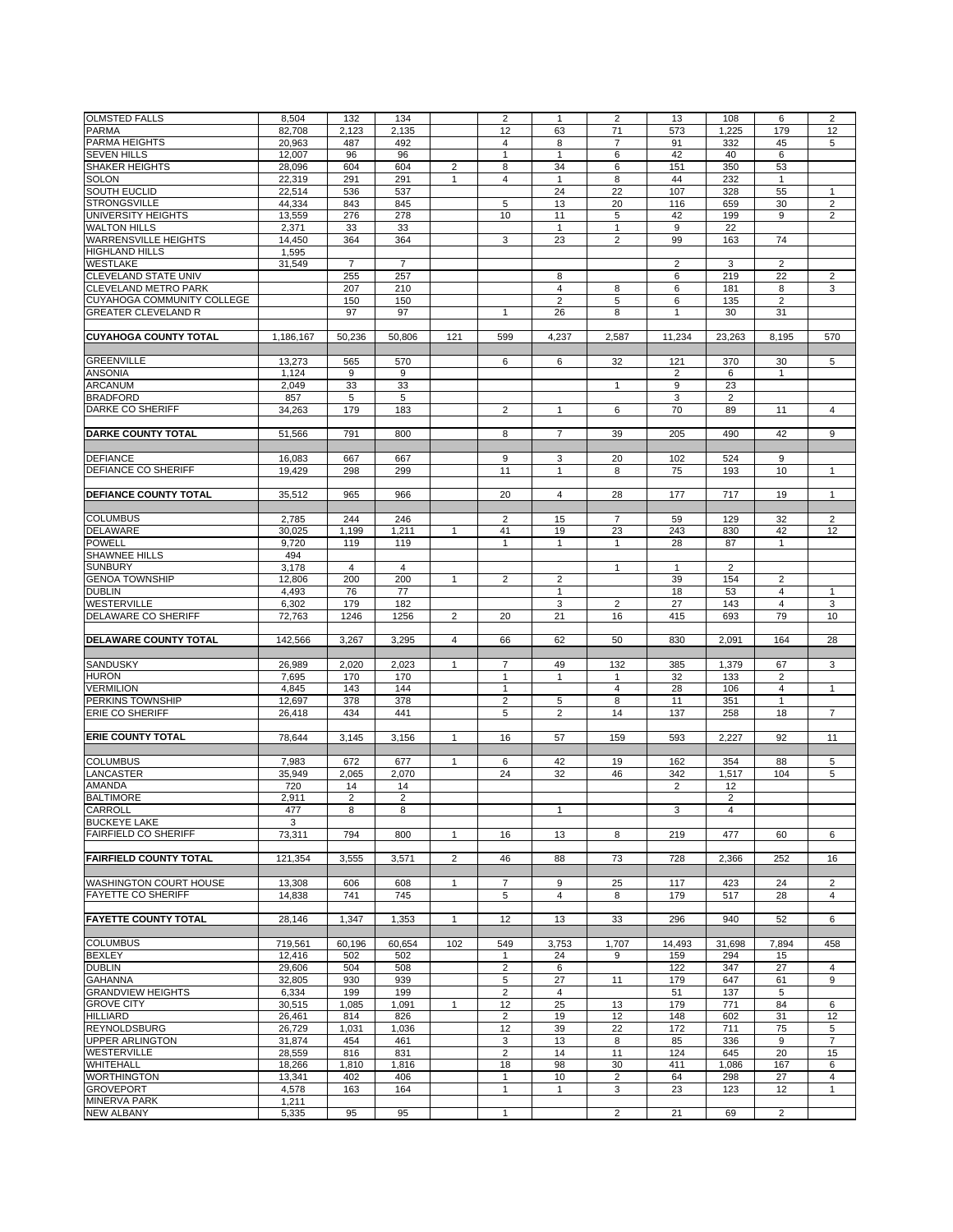| <b>OLMSTED FALLS</b>          | 8,504     | 132            | 134            |                | $\overline{2}$          | 1                       | $\overline{2}$ | 13             | 108            | 6              | $\overline{2}$ |
|-------------------------------|-----------|----------------|----------------|----------------|-------------------------|-------------------------|----------------|----------------|----------------|----------------|----------------|
|                               |           |                |                |                |                         |                         |                |                |                |                |                |
| <b>PARMA</b>                  | 82,708    | 2,123          | 2,135          |                | 12                      | 63                      | 71             | 573            | 1,225          | 179            | 12             |
| PARMA HEIGHTS                 | 20,963    | 487            | 492            |                | 4                       | 8                       | $\overline{7}$ | 91             | 332            | 45             | 5              |
| <b>SEVEN HILLS</b>            | 12,007    | 96             | 96             |                | $\mathbf{1}$            | $\mathbf{1}$            | 6              | 42             | 40             | 6              |                |
| <b>SHAKER HEIGHTS</b>         | 28,096    | 604            | 604            | 2              | 8                       | 34                      | 6              | 151            | 350            | 53             |                |
| <b>SOLON</b>                  | 22,319    | 291            | 291            | 1              | 4                       | 1                       | 8              | 44             | 232            | 1              |                |
| SOUTH EUCLID                  | 22,514    | 536            | 537            |                |                         | 24                      | 22             | 107            | 328            | 55             | $\mathbf{1}$   |
| <b>STRONGSVILLE</b>           |           |                |                |                |                         |                         |                |                |                |                |                |
|                               | 44,334    | 843            | 845            |                | 5                       | 13                      | 20             | 116            | 659            | 30             | $\overline{2}$ |
| UNIVERSITY HEIGHTS            | 13,559    | 276            | 278            |                | 10                      | 11                      | 5              | 42             | 199            | 9              | 2              |
| <b>WALTON HILLS</b>           | 2,371     | 33             | 33             |                |                         | $\mathbf{1}$            | $\mathbf{1}$   | 9              | 22             |                |                |
| <b>WARRENSVILLE HEIGHTS</b>   | 14,450    | 364            | 364            |                | 3                       | 23                      | $\overline{2}$ | 99             | 163            | 74             |                |
| <b>HIGHLAND HILLS</b>         | 1,595     |                |                |                |                         |                         |                |                |                |                |                |
| <b>WESTLAKE</b>               | 31,549    | $\overline{7}$ | $\overline{7}$ |                |                         |                         |                | $\overline{2}$ | 3              | 2              |                |
| <b>CLEVELAND STATE UNIV</b>   |           |                |                |                |                         | 8                       |                |                | 219            |                | $\overline{2}$ |
|                               |           | 255            | 257            |                |                         |                         |                | 6              |                | 22             |                |
| <b>CLEVELAND METRO PARK</b>   |           | 207            | 210            |                |                         | 4                       | 8              | 6              | 181            | 8              | 3              |
| CUYAHOGA COMMUNITY COLLEGE    |           | 150            | 150            |                |                         | $\overline{c}$          | 5              | 6              | 135            | $\overline{2}$ |                |
| <b>GREATER CLEVELAND R</b>    |           | 97             | 97             |                | $\mathbf{1}$            | 26                      | 8              | 1              | 30             | 31             |                |
|                               |           |                |                |                |                         |                         |                |                |                |                |                |
| <b>CUYAHOGA COUNTY TOTAL</b>  | 1,186,167 | 50,236         | 50,806         | 121            | 599                     | 4,237                   | 2,587          | 11,234         | 23,263         | 8,195          | 570            |
|                               |           |                |                |                |                         |                         |                |                |                |                |                |
| <b>GREENVILLE</b>             | 13,273    | 565            | 570            |                | 6                       | 6                       | 32             | 121            | 370            | 30             | 5              |
|                               |           |                |                |                |                         |                         |                |                |                |                |                |
| <b>ANSONIA</b>                | 1,124     | 9              | 9              |                |                         |                         |                | $\overline{2}$ | 6              | 1              |                |
| <b>ARCANUM</b>                | 2,049     | 33             | 33             |                |                         |                         | $\mathbf{1}$   | 9              | 23             |                |                |
| <b>BRADFORD</b>               | 857       | 5              | 5              |                |                         |                         |                | 3              | 2              |                |                |
| <b>DARKE CO SHERIFF</b>       | 34,263    | 179            | 183            |                | $\overline{2}$          | $\mathbf{1}$            | 6              | 70             | 89             | 11             | $\overline{4}$ |
|                               |           |                |                |                |                         |                         |                |                |                |                |                |
| <b>DARKE COUNTY TOTAL</b>     | 51,566    | 791            | 800            |                | 8                       | $\overline{7}$          | 39             | 205            | 490            | 42             | 9              |
|                               |           |                |                |                |                         |                         |                |                |                |                |                |
|                               |           |                |                |                |                         |                         |                |                |                |                |                |
| <b>DEFIANCE</b>               | 16,083    | 667            | 667            |                | 9                       | 3                       | 20             | 102            | 524            | 9              |                |
| DEFIANCE CO SHERIFF           | 19,429    | 298            | 299            |                | 11                      | 1                       | 8              | 75             | 193            | 10             | $\mathbf{1}$   |
|                               |           |                |                |                |                         |                         |                |                |                |                |                |
| <b>DEFIANCE COUNTY TOTAL</b>  | 35,512    | 965            | 966            |                | 20                      | $\overline{\mathbf{4}}$ | 28             | 177            | 717            | 19             | $\mathbf{1}$   |
|                               |           |                |                |                |                         |                         |                |                |                |                |                |
| <b>COLUMBUS</b>               | 2,785     | 244            | 246            |                | $\overline{2}$          | 15                      | $\overline{7}$ | 59             | 129            | 32             | $\overline{2}$ |
|                               |           |                |                |                | 41                      |                         |                |                |                |                |                |
| <b>DELAWARE</b>               | 30,025    | 1,199          | 1,211          | $\mathbf{1}$   |                         | 19                      | 23             | 243            | 830            | 42             | 12             |
| <b>POWELL</b>                 | 9,720     | 119            | 119            |                | 1                       | 1                       | 1              | 28             | 87             | 1              |                |
| SHAWNEE HILLS                 | 494       |                |                |                |                         |                         |                |                |                |                |                |
| <b>SUNBURY</b>                | 3,178     | $\overline{4}$ | $\overline{4}$ |                |                         |                         | $\mathbf{1}$   | $\mathbf{1}$   | $\overline{2}$ |                |                |
| <b>GENOA TOWNSHIP</b>         | 12,806    | 200            | 200            | $\mathbf{1}$   | $\overline{2}$          | 2                       |                | 39             | 154            | 2              |                |
| <b>DUBLIN</b>                 | 4,493     | 76             | 77             |                |                         | $\mathbf{1}$            |                | 18             | 53             | 4              | $\mathbf{1}$   |
|                               |           |                |                |                |                         |                         |                |                |                |                |                |
| WESTERVILLE                   | 6,302     | 179            | 182            |                |                         | 3                       | $\overline{2}$ | 27             | 143            | 4              | 3              |
| <b>DELAWARE CO SHERIFF</b>    | 72,763    | 1246           | 1256           | $\overline{2}$ | 20                      | 21                      | 16             | 415            | 693            | 79             | 10             |
|                               |           |                |                |                |                         |                         |                |                |                |                |                |
| DELAWARE COUNTY TOTAL         | 142,566   | 3,267          | 3,295          | $\overline{4}$ | 66                      | 62                      | 50             | 830            | 2,091          | 164            | 28             |
|                               |           |                |                |                |                         |                         |                |                |                |                |                |
| SANDUSKY                      | 26,989    | 2,020          | 2,023          | 1              | 7                       | 49                      | 132            | 385            | 1,379          | 67             | 3              |
| <b>HURON</b>                  | 7,695     | 170            | 170            |                | $\mathbf{1}$            | $\mathbf{1}$            | 1              | 32             | 133            | $\overline{2}$ |                |
|                               |           |                |                |                |                         |                         |                |                |                |                |                |
| <b>VERMILION</b>              | 4,845     | 143            | 144            |                | $\mathbf{1}$            |                         | $\overline{4}$ | 28             | 106            | 4              | $\mathbf{1}$   |
| PERKINS TOWNSHIP              | 12,697    | 378            | 378            |                | $\overline{2}$          | 5                       | 8              | 11             | 351            | 1              |                |
| <b>ERIE CO SHERIFF</b>        | 26,418    | 434            | 441            |                | 5                       | $\overline{2}$          | 14             | 137            | 258            | 18             | $\overline{7}$ |
|                               |           |                |                |                |                         |                         |                |                |                |                |                |
| <b>ERIE COUNTY TOTAL</b>      | 78,644    | 3,145          | 3,156          | $\mathbf{1}$   | 16                      | 57                      | 159            | 593            | 2,227          | 92             | 11             |
|                               |           |                |                |                |                         |                         |                |                |                |                |                |
| <b>COLUMBUS</b>               |           |                |                |                |                         |                         |                |                |                |                |                |
|                               | 7,983     | 672            | 677            | $\mathbf{1}$   | 6                       | 42                      | 19             | 162            | 354            | 88             | 5              |
| <b>LANCASTER</b>              | 35,949    | 2,065          | 2,070          |                | 24                      | 32                      | 46             | 342            | 1,517          | 104            | 5              |
| AMANDA                        | 720       | 14             | 14             |                |                         |                         |                | $\overline{2}$ | 12             |                |                |
| <b>BALTIMORE</b>              | 2,911     | $\overline{2}$ | $\overline{2}$ |                |                         |                         |                |                | $\overline{2}$ |                |                |
| CARROLL                       | 477       | 8              | 8              |                |                         | 1                       |                | 3              | 4              |                |                |
| <b>BUCKEYE LAKE</b>           | 3         |                |                |                |                         |                         |                |                |                |                |                |
| <b>FAIRFIELD CO SHERIFF</b>   | 73,311    | 794            | 800            | $\mathbf{1}$   | 16                      | 13                      | 8              | 219            | 477            | 60             | 6              |
|                               |           |                |                |                |                         |                         |                |                |                |                |                |
|                               |           |                |                |                |                         |                         |                |                |                |                |                |
| <b>FAIRFIELD COUNTY TOTAL</b> | 121,354   | 3,555          | 3,571          | $\overline{2}$ | 46                      | 88                      | 73             | 728            | 2,366          | 252            | 16             |
|                               |           |                |                |                |                         |                         |                |                |                |                |                |
| WASHINGTON COURT HOUSE        | 13,308    | 606            | 608            | $\mathbf{1}$   | $\overline{7}$          | 9                       | 25             | 117            | 423            | 24             | 2              |
| <b>FAYETTE CO SHERIFF</b>     | 14,838    | 741            | 745            |                | 5                       | 4                       | 8              | 179            | 517            | 28             | $\overline{4}$ |
|                               |           |                |                |                |                         |                         |                |                |                |                |                |
| <b>FAYETTE COUNTY TOTAL</b>   | 28,146    | 1,347          | 1,353          | $\mathbf{1}$   | 12                      | 13                      | 33             | 296            | 940            | 52             | 6              |
|                               |           |                |                |                |                         |                         |                |                |                |                |                |
| <b>COLUMBUS</b>               | 719,561   | 60,196         | 60,654         | 102            | 549                     | 3,753                   | 1,707          | 14,493         | 31,698         | 7,894          | 458            |
|                               |           |                |                |                |                         |                         |                |                |                |                |                |
| <b>BEXLEY</b>                 | 12,416    | 502            | 502            |                | $\mathbf{1}$            | 24                      | 9              | 159            | 294            | 15             |                |
| <b>DUBLIN</b>                 | 29,606    | 504            | 508            |                | $\overline{\mathbf{c}}$ | 6                       |                | 122            | 347            | 27             | 4              |
| <b>GAHANNA</b>                | 32,805    | 930            | 939            |                | 5                       | 27                      | 11             | 179            | 647            | 61             | 9              |
| <b>GRANDVIEW HEIGHTS</b>      | 6,334     | 199            | 199            |                | 2                       | $\overline{4}$          |                | 51             | 137            | 5              |                |
| <b>GROVE CITY</b>             | 30,515    | 1,085          | 1,091          | $\mathbf{1}$   | 12                      | 25                      | 13             | 179            | 771            | 84             | 6              |
| <b>HILLIARD</b>               | 26,461    | 814            | 826            |                | $\overline{2}$          | 19                      | 12             | 148            | 602            | 31             | 12             |
|                               |           |                |                |                |                         |                         |                |                |                |                |                |
| <b>REYNOLDSBURG</b>           | 26,729    | 1,031          | 1,036          |                | 12                      | 39                      | 22             | 172            | 711            | 75             | 5              |
| <b>UPPER ARLINGTON</b>        | 31,874    | 454            | 461            |                | 3                       | 13                      | 8              | 85             | 336            | 9              | $\overline{7}$ |
| WESTERVILLE                   | 28,559    | 816            | 831            |                | $\overline{2}$          | 14                      | 11             | 124            | 645            | 20             | 15             |
| WHITEHALL                     | 18,266    | 1,810          | 1,816          |                | 18                      | 98                      | 30             | 411            | 1,086          | 167            | 6              |
| <b>WORTHINGTON</b>            | 13,341    | 402            | 406            |                | $\mathbf{1}$            | 10                      | $\overline{2}$ | 64             | 298            | 27             | 4              |
| <b>GROVEPORT</b>              | 4,578     | 163            | 164            |                | 1                       | $\mathbf{1}$            | 3              | 23             | 123            | 12             | 1              |
|                               |           |                |                |                |                         |                         |                |                |                |                |                |
| <b>MINERVA PARK</b>           | 1,211     |                | 95             |                | $\mathbf{1}$            |                         | $\overline{2}$ | 21             | 69             | $\overline{2}$ |                |
| <b>NEW ALBANY</b>             | 5,335     | 95             |                |                |                         |                         |                |                |                |                |                |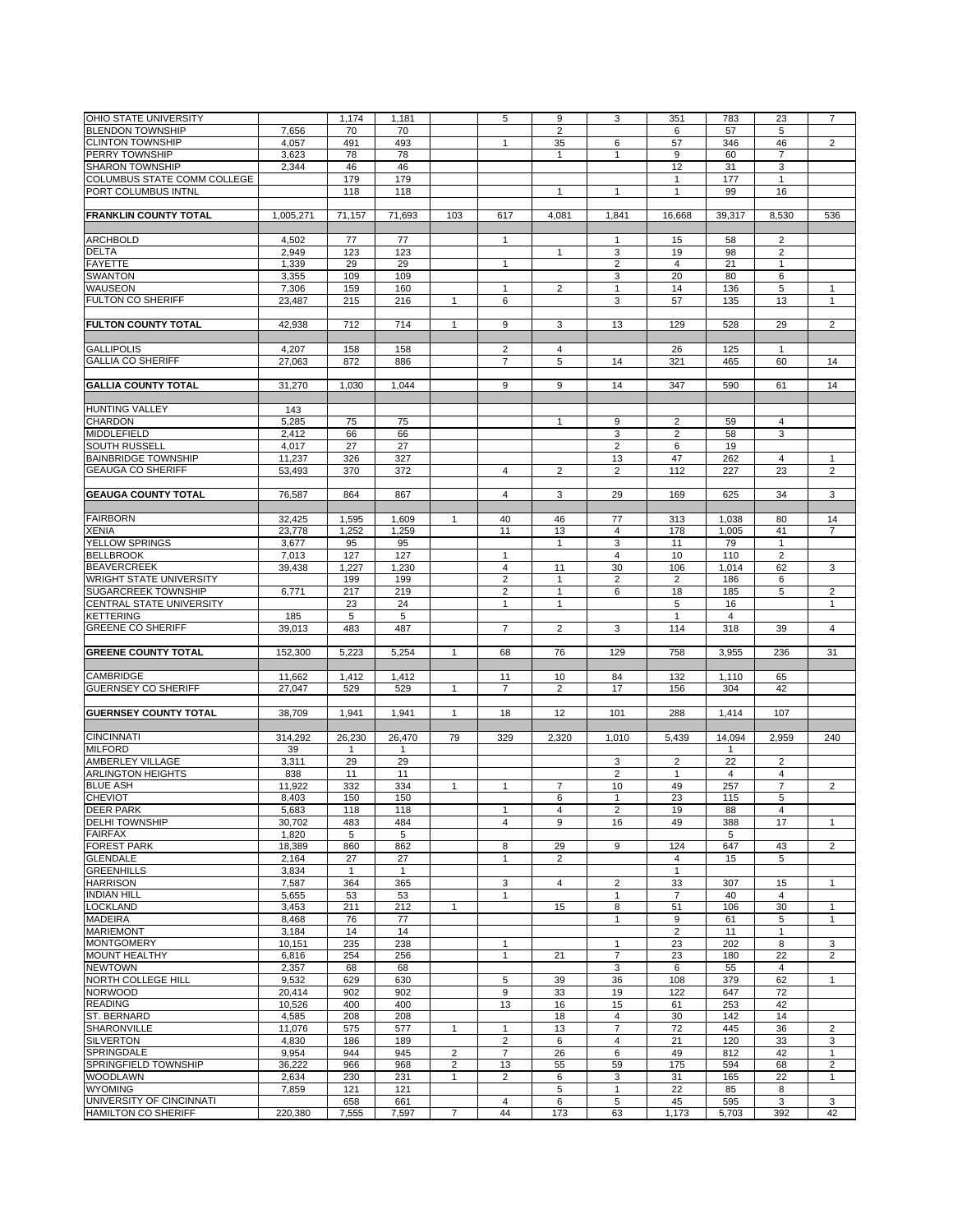| OHIO STATE UNIVERSITY                                  |           |              |                |                         | 5                    | 9                       |                         |                |                |                |                |
|--------------------------------------------------------|-----------|--------------|----------------|-------------------------|----------------------|-------------------------|-------------------------|----------------|----------------|----------------|----------------|
|                                                        |           | 1,174        | 1,181          |                         |                      |                         | 3                       | 351            | 783            | 23             | $\overline{7}$ |
| <b>BLENDON TOWNSHIP</b>                                | 7,656     | 70           | 70             |                         |                      | $\overline{2}$          |                         | 6              | 57             | 5              |                |
| <b>CLINTON TOWNSHIP</b>                                | 4,057     | 491          | 493            |                         | $\mathbf{1}$         | 35                      | 6                       | 57             | 346            | 46             | $\overline{2}$ |
| <b>PERRY TOWNSHIP</b>                                  | 3,623     | 78           | 78             |                         |                      | $\mathbf{1}$            | 1                       | 9              | 60             | 7              |                |
| <b>SHARON TOWNSHIP</b>                                 | 2,344     | 46           | 46             |                         |                      |                         |                         | 12             | 31             | 3              |                |
|                                                        |           |              |                |                         |                      |                         |                         |                |                |                |                |
| COLUMBUS STATE COMM COLLEGE                            |           | 179          | 179            |                         |                      |                         |                         | $\mathbf{1}$   | 177            | $\mathbf{1}$   |                |
| PORT COLUMBUS INTNL                                    |           | 118          | 118            |                         |                      | $\mathbf{1}$            | 1                       | $\mathbf{1}$   | 99             | 16             |                |
|                                                        |           |              |                |                         |                      |                         |                         |                |                |                |                |
| <b>FRANKLIN COUNTY TOTAL</b>                           | 1,005,271 | 71,157       | 71,693         | 103                     | 617                  | 4,081                   | 1,841                   | 16,668         | 39,317         | 8,530          | 536            |
|                                                        |           |              |                |                         |                      |                         |                         |                |                |                |                |
|                                                        |           |              |                |                         |                      |                         |                         |                |                |                |                |
| <b>ARCHBOLD</b>                                        | 4,502     | 77           | 77             |                         | $\mathbf{1}$         |                         | 1                       | 15             | 58             | $\overline{2}$ |                |
| <b>DELTA</b>                                           | 2,949     | 123          | 123            |                         |                      | $\mathbf{1}$            | $\mathbf 3$             | 19             | 98             | 2              |                |
| <b>FAYETTE</b>                                         | 1,339     | 29           | 29             |                         | $\mathbf{1}$         |                         | $\overline{2}$          | $\overline{4}$ | 21             | $\mathbf{1}$   |                |
| <b>SWANTON</b>                                         | 3,355     | 109          | 109            |                         |                      |                         | 3                       | 20             | 80             | 6              |                |
|                                                        |           |              |                |                         |                      |                         |                         |                |                |                |                |
| <b>WAUSEON</b>                                         | 7,306     | 159          | 160            |                         | $\mathbf{1}$         | $\overline{\mathbf{c}}$ | 1                       | 14             | 136            | 5              | 1              |
| <b>FULTON CO SHERIFF</b>                               | 23,487    | 215          | 216            | $\mathbf{1}$            | 6                    |                         | 3                       | 57             | 135            | 13             | $\mathbf{1}$   |
|                                                        |           |              |                |                         |                      |                         |                         |                |                |                |                |
| <b>FULTON COUNTY TOTAL</b>                             | 42,938    | 712          | 714            | $\mathbf{1}$            | 9                    | 3                       | 13                      | 129            | 528            | 29             | $\overline{2}$ |
|                                                        |           |              |                |                         |                      |                         |                         |                |                |                |                |
| <b>GALLIPOLIS</b>                                      | 4,207     | 158          | 158            |                         | $\overline{2}$       | 4                       |                         | 26             | 125            | $\mathbf{1}$   |                |
|                                                        |           |              |                |                         |                      |                         |                         |                |                |                |                |
| <b>GALLIA CO SHERIFF</b>                               | 27,063    | 872          | 886            |                         | $\overline{7}$       | 5                       | 14                      | 321            | 465            | 60             | 14             |
|                                                        |           |              |                |                         |                      |                         |                         |                |                |                |                |
| <b>GALLIA COUNTY TOTAL</b>                             | 31,270    | 1,030        | 1,044          |                         | 9                    | 9                       | 14                      | 347            | 590            | 61             | 14             |
|                                                        |           |              |                |                         |                      |                         |                         |                |                |                |                |
|                                                        |           |              |                |                         |                      |                         |                         |                |                |                |                |
| <b>HUNTING VALLEY</b>                                  | 143       |              |                |                         |                      |                         |                         |                |                |                |                |
| <b>CHARDON</b>                                         | 5,285     | 75           | 75             |                         |                      | $\mathbf{1}$            | 9                       | $\overline{2}$ | 59             | 4              |                |
| <b>MIDDLEFIELD</b>                                     | 2,412     | 66           | 66             |                         |                      |                         | 3                       | $\overline{c}$ | 58             | 3              |                |
| <b>SOUTH RUSSELL</b>                                   | 4,017     | 27           | 27             |                         |                      |                         | $\overline{2}$          | 6              | 19             |                |                |
|                                                        |           |              |                |                         |                      |                         |                         |                |                |                |                |
| <b>BAINBRIDGE TOWNSHIP</b>                             | 11,237    | 326          | 327            |                         |                      |                         | 13                      | 47             | 262            | $\overline{4}$ | $\mathbf{1}$   |
| <b>GEAUGA CO SHERIFF</b>                               | 53,493    | 370          | 372            |                         | $\overline{4}$       | $\overline{2}$          | $\overline{2}$          | 112            | 227            | 23             | $\overline{2}$ |
|                                                        |           |              |                |                         |                      |                         |                         |                |                |                |                |
| <b>GEAUGA COUNTY TOTAL</b>                             | 76,587    | 864          | 867            |                         | $\overline{4}$       | 3                       | 29                      | 169            | 625            | 34             | 3              |
|                                                        |           |              |                |                         |                      |                         |                         |                |                |                |                |
| <b>FAIRBORN</b>                                        |           |              |                |                         |                      |                         |                         |                |                |                |                |
|                                                        | 32,425    | 1,595        | 1,609          | 1                       | 40                   | 46                      | 77                      | 313            | 1,038          | 80             | 14             |
| <b>XENIA</b>                                           | 23,778    | 1,252        | 1,259          |                         | 11                   | 13                      | 4                       | 178            | 1,005          | 41             | $\overline{7}$ |
| <b>YELLOW SPRINGS</b>                                  | 3,677     | 95           | 95             |                         |                      | $\mathbf{1}$            | 3                       | 11             | 79             | $\mathbf{1}$   |                |
| <b>BELLBROOK</b>                                       | 7,013     | 127          | 127            |                         | $\mathbf{1}$         |                         | 4                       | 10             | 110            | $\overline{2}$ |                |
|                                                        |           |              |                |                         | $\overline{4}$       |                         | 30                      |                |                |                |                |
| <b>BEAVERCREEK</b>                                     | 39,438    | 1,227        | 1,230          |                         |                      | 11                      |                         | 106            | 1,014          | 62             | 3              |
| <b>WRIGHT STATE UNIVERSITY</b>                         |           | 199          | 199            |                         | $\overline{2}$       | $\mathbf{1}$            | $\overline{\mathbf{c}}$ | $\overline{2}$ | 186            | 6              |                |
| <b>SUGARCREEK TOWNSHIP</b>                             | 6,771     | 217          | 219            |                         | $\overline{2}$       | $\mathbf{1}$            | 6                       | 18             | 185            | 5              | $\overline{2}$ |
| CENTRAL STATE UNIVERSITY                               |           | 23           | 24             |                         | $\mathbf{1}$         | $\mathbf{1}$            |                         | 5              | 16             |                | $\mathbf{1}$   |
| <b>KETTERING</b>                                       | 185       | 5            | 5              |                         |                      |                         |                         | $\mathbf{1}$   | $\overline{4}$ |                |                |
|                                                        |           |              |                |                         |                      |                         |                         |                |                |                |                |
| <b>GREENE CO SHERIFF</b>                               | 39,013    | 483          | 487            |                         | $\overline{7}$       | $\overline{2}$          | 3                       | 114            | 318            | 39             | $\overline{4}$ |
|                                                        |           |              |                |                         |                      |                         |                         |                |                |                |                |
| <b>GREENE COUNTY TOTAL</b>                             | 152,300   | 5,223        | 5,254          | $\mathbf{1}$            | 68                   | 76                      | 129                     | 758            | 3,955          | 236            | 31             |
|                                                        |           |              |                |                         |                      |                         |                         |                |                |                |                |
| <b>CAMBRIDGE</b>                                       | 11,662    | 1,412        | 1,412          |                         | 11                   | 10                      | 84                      | 132            | 1,110          | 65             |                |
|                                                        |           |              |                |                         |                      |                         |                         |                |                |                |                |
| <b>GUERNSEY CO SHERIFF</b>                             | 27,047    | 529          | 529            | 1                       | $\overline{7}$       | $\overline{2}$          | 17                      | 156            | 304            | 42             |                |
|                                                        |           |              |                |                         |                      |                         |                         |                |                |                |                |
| <b>GUERNSEY COUNTY TOTAL</b>                           | 38,709    | 1,941        | 1,941          | $\mathbf{1}$            | 18                   | 12                      | 101                     | 288            | 1,414          | 107            |                |
|                                                        |           |              |                |                         |                      |                         |                         |                |                |                |                |
| <b>CINCINNATI</b>                                      | 314,292   | 26,230       | 26,470         | 79                      | 329                  | 2,320                   | 1,010                   | 5,439          | 14,094         | 2,959          | 240            |
|                                                        |           |              |                |                         |                      |                         |                         |                |                |                |                |
| <b>MILFORD</b>                                         | 39        | $\mathbf{1}$ | $\mathbf{1}$   |                         |                      |                         |                         |                | $\mathbf{1}$   |                |                |
| AMBERLEY VILLAGE                                       | 3,311     | 29           | 29             |                         |                      |                         | 3                       | $\overline{2}$ | 22             | 2              |                |
| <b>ARLINGTON HEIGHTS</b>                               | 838       | 11           | 11             |                         |                      |                         | $\overline{2}$          | $\mathbf{1}$   | 4              | 4              |                |
| <b>BLUE ASH</b>                                        | 11,922    | 332          | 334            | $\mathbf{1}$            | $\mathbf{1}$         | $\overline{7}$          | 10                      | 49             | 257            | $\overline{7}$ | 2              |
|                                                        |           | 150          | 150            |                         |                      | 6                       | $\mathbf{1}$            | 23             | 115            |                |                |
| <b>CHEVIOT</b>                                         | 8,403     |              |                |                         |                      |                         |                         |                |                | 5              |                |
| <b>DEER PARK</b>                                       | 5,683     | 118          | 118            |                         | 1                    | 4                       | 2                       | 19             | 88             | $\overline{4}$ |                |
| <b>DELHI TOWNSHIP</b>                                  | 30,702    | 483          | 484            |                         | $\overline{4}$       | 9                       | 16                      | 49             | 388            | 17             | $\mathbf{1}$   |
| <b>FAIRFAX</b>                                         | 1,820     | 5            | 5              |                         |                      |                         |                         |                | 5              |                |                |
| <b>FOREST PARK</b>                                     | 18,389    | 860          | 862            |                         | 8                    | 29                      | 9                       | 124            | 647            | 43             | $\overline{2}$ |
| <b>GLENDALE</b>                                        | 2,164     | 27           | 27             |                         | $\mathbf{1}$         | $\overline{2}$          |                         | $\overline{4}$ |                | 5              |                |
|                                                        |           |              |                |                         |                      |                         |                         |                | 15             |                |                |
|                                                        |           |              |                |                         |                      |                         |                         |                |                |                |                |
| <b>GREENHILLS</b>                                      | 3,834     | $\mathbf{1}$ | $\overline{1}$ |                         |                      |                         |                         | $\mathbf{1}$   |                |                |                |
| <b>HARRISON</b>                                        | 7,587     | 364          | 365            |                         | 3                    | $\overline{4}$          | $\overline{\mathbf{c}}$ | 33             | 307            | 15             | $\mathbf{1}$   |
| <b>INDIAN HILL</b>                                     |           |              |                |                         | $\mathbf{1}$         |                         | $\mathbf{1}$            | $\overline{7}$ | 40             | 4              |                |
|                                                        | 5,655     | 53           | 53             |                         |                      |                         |                         |                |                |                |                |
| <b>LOCKLAND</b>                                        | 3,453     | 211          | 212            | $\mathbf{1}$            |                      | 15                      | 8                       | 51             | 106            | 30             | $\mathbf{1}$   |
| <b>MADEIRA</b>                                         | 8,468     | 76           | 77             |                         |                      |                         | 1                       | 9              | 61             | 5              | 1              |
| <b>MARIEMONT</b>                                       | 3,184     | 14           | 14             |                         |                      |                         |                         | $\overline{2}$ | 11             | 1              |                |
| <b>MONTGOMERY</b>                                      | 10,151    | 235          | 238            |                         | $\mathbf{1}$         |                         | 1                       | 23             | 202            | 8              | 3              |
|                                                        |           |              |                |                         | $\mathbf{1}$         |                         |                         |                |                |                |                |
| <b>MOUNT HEALTHY</b>                                   | 6,816     | 254          | 256            |                         |                      | 21                      | $\overline{7}$          | 23             | 180            | 22             | $\overline{2}$ |
| <b>NEWTOWN</b>                                         | 2,357     | 68           | 68             |                         |                      |                         | 3                       | 6              | 55             | $\overline{4}$ |                |
| <b>NORTH COLLEGE HILL</b>                              | 9,532     | 629          | 630            |                         | 5                    | 39                      | 36                      | 108            | 379            | 62             | $\mathbf{1}$   |
| <b>NORWOOD</b>                                         | 20,414    | 902          | 902            |                         | 9                    | 33                      | 19                      | 122            | 647            | 72             |                |
| <b>READING</b>                                         | 10,526    | 400          | 400            |                         | 13                   | 16                      | 15                      | 61             | 253            | 42             |                |
|                                                        |           |              |                |                         |                      |                         |                         |                |                |                |                |
| ST. BERNARD                                            | 4,585     | 208          | 208            |                         |                      | 18                      | 4                       | 30             | 142            | 14             |                |
| <b>SHARONVILLE</b>                                     | 11,076    | 575          | 577            | $\mathbf{1}$            | $\mathbf{1}$         | 13                      | $\overline{7}$          | 72             | 445            | 36             | $\overline{2}$ |
| <b>SILVERTON</b>                                       | 4,830     | 186          | 189            |                         | $\overline{2}$       | 6                       | 4                       | 21             | 120            | 33             | 3              |
| SPRINGDALE                                             | 9,954     | 944          | 945            | $\overline{2}$          | $\overline{7}$       | 26                      | 6                       | 49             | 812            | 42             | $\mathbf{1}$   |
|                                                        |           |              |                |                         |                      |                         |                         |                |                |                |                |
| SPRINGFIELD TOWNSHIP                                   | 36,222    | 966          | 968            | $\overline{\mathbf{c}}$ | 13                   | 55                      | 59                      | 175            | 594            | 68             | $\overline{2}$ |
| <b>WOODLAWN</b>                                        | 2,634     | 230          | 231            | 1                       | $\overline{2}$       | 6                       | 3                       | 31             | 165            | 22             | $\mathbf{1}$   |
| <b>WYOMING</b>                                         | 7,859     | 121          | 121            |                         |                      | 5                       | 1                       | 22             | 85             | 8              |                |
| UNIVERSITY OF CINCINNATI<br><b>HAMILTON CO SHERIFF</b> | 220,380   | 658          | 661<br>7,597   | $\overline{7}$          | $\overline{4}$<br>44 | 6<br>173                | 5<br>63                 | 45<br>1,173    | 595            | 3<br>392       | 3<br>42        |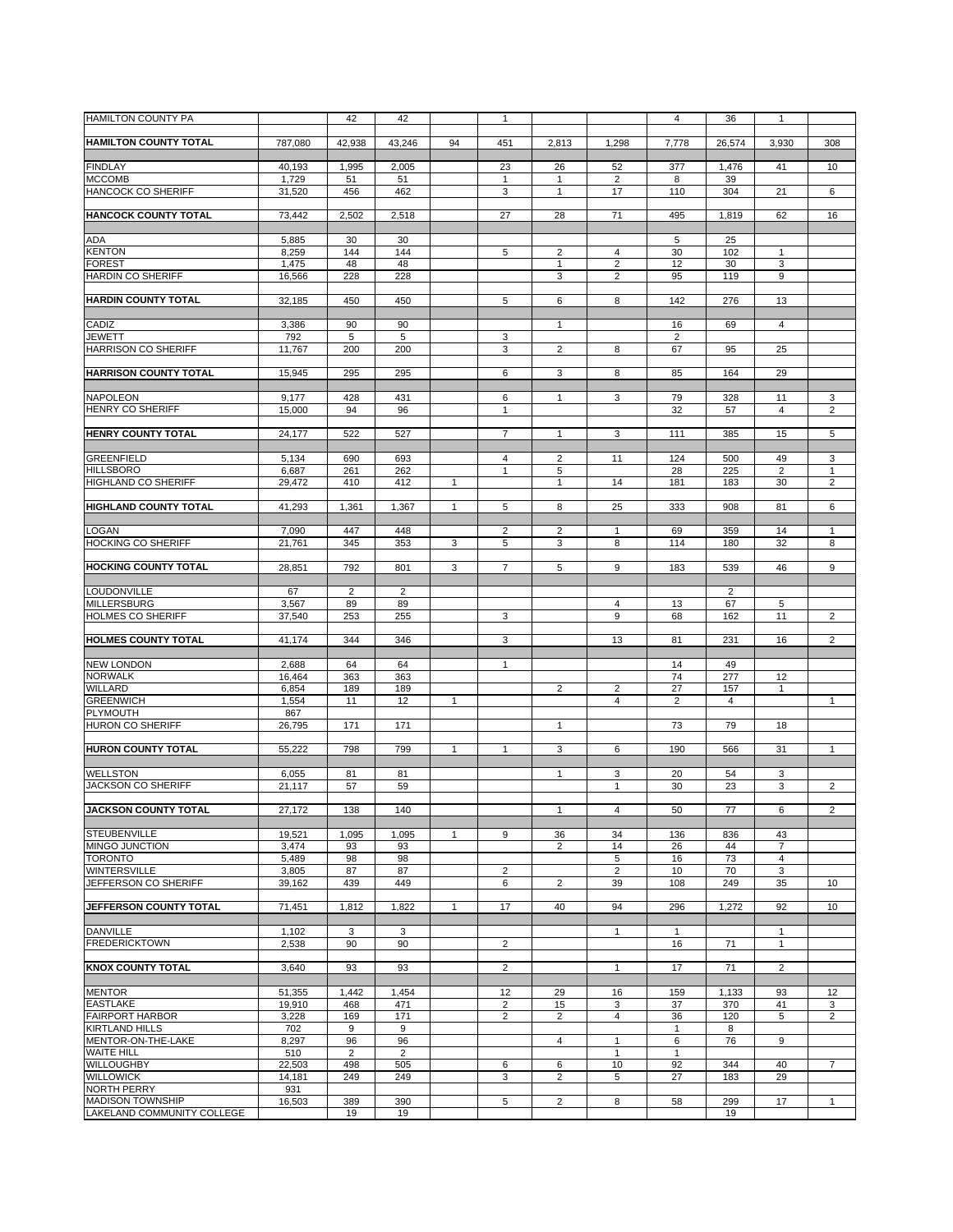| <b>HAMILTON COUNTY PA</b>                     |                  | 42                   | 42             |              | 1                    |                         |                      | $\overline{4}$    | 36           | 1              |                              |
|-----------------------------------------------|------------------|----------------------|----------------|--------------|----------------------|-------------------------|----------------------|-------------------|--------------|----------------|------------------------------|
| <b>HAMILTON COUNTY TOTAL</b>                  | 787,080          | 42,938               | 43,246         | 94           | 451                  | 2,813                   | 1,298                | 7,778             | 26,574       | 3,930          | 308                          |
|                                               |                  |                      |                |              |                      |                         |                      |                   |              |                |                              |
| <b>FINDLAY</b><br><b>MCCOMB</b>               | 40,193<br>1,729  | 1,995<br>51          | 2,005<br>51    |              | 23<br>1              | 26<br>1                 | 52<br>2              | 377<br>8          | 1,476<br>39  | 41             | 10                           |
| <b>HANCOCK CO SHERIFF</b>                     | 31,520           | 456                  | 462            |              | 3                    | 1                       | 17                   | 110               | 304          | 21             | 6                            |
|                                               |                  |                      |                |              |                      |                         |                      |                   |              |                |                              |
| <b>HANCOCK COUNTY TOTAL</b>                   | 73,442           | 2,502                | 2,518          |              | 27                   | 28                      | 71                   | 495               | 1,819        | 62             | 16                           |
| <b>ADA</b>                                    | 5,885            | 30                   | 30             |              |                      |                         |                      | 5                 | 25           |                |                              |
| <b>KENTON</b>                                 | 8,259            | 144                  | 144            |              | 5                    | $\overline{2}$          | 4                    | 30                | 102          | 1              |                              |
| <b>FOREST</b><br><b>HARDIN CO SHERIFF</b>     | 1,475<br>16,566  | 48<br>228            | 48<br>228      |              |                      | $\mathbf{1}$<br>3       | $\overline{2}$<br>2  | 12<br>95          | 30<br>119    | 3<br>9         |                              |
|                                               |                  |                      |                |              |                      |                         |                      |                   |              |                |                              |
| <b>HARDIN COUNTY TOTAL</b>                    | 32,185           | 450                  | 450            |              | 5                    | 6                       | 8                    | 142               | 276          | 13             |                              |
| CADIZ                                         | 3,386            | 90                   | 90             |              |                      | $\mathbf{1}$            |                      | 16                | 69           | 4              |                              |
| <b>JEWETT</b>                                 | 792              | 5                    | 5              |              | 3                    |                         |                      | $\overline{2}$    |              |                |                              |
| <b>HARRISON CO SHERIFF</b>                    | 11,767           | 200                  | 200            |              | 3                    | $\overline{2}$          | 8                    | 67                | 95           | 25             |                              |
| <b>HARRISON COUNTY TOTAL</b>                  | 15,945           | 295                  | 295            |              | 6                    | 3                       | 8                    | 85                | 164          | 29             |                              |
|                                               |                  |                      |                |              |                      |                         |                      |                   |              |                |                              |
| <b>NAPOLEON</b><br><b>HENRY CO SHERIFF</b>    | 9,177<br>15,000  | 428<br>94            | 431<br>96      |              | 6<br>$\mathbf{1}$    | $\mathbf{1}$            | 3                    | 79<br>32          | 328<br>57    | 11<br>4        | 3<br>$\overline{2}$          |
|                                               |                  |                      |                |              |                      |                         |                      |                   |              |                |                              |
| <b>HENRY COUNTY TOTAL</b>                     | 24,177           | 522                  | 527            |              | $\overline{7}$       | $\mathbf{1}$            | 3                    | 111               | 385          | 15             | 5                            |
| <b>GREENFIELD</b>                             | 5,134            | 690                  | 693            |              | $\overline{4}$       | $\overline{c}$          | 11                   | 124               | 500          | 49             | 3                            |
| <b>HILLSBORO</b>                              | 6,687            | 261                  | 262            |              | $\mathbf{1}$         | 5                       |                      | 28                | 225          | $\overline{2}$ | $\mathbf{1}$                 |
| <b>HIGHLAND CO SHERIFF</b>                    | 29,472           | 410                  | 412            | 1            |                      | 1                       | 14                   | 181               | 183          | 30             | $\overline{2}$               |
| <b>HIGHLAND COUNTY TOTAL</b>                  | 41,293           | 1,361                | 1,367          | $\mathbf{1}$ | 5                    | 8                       | 25                   | 333               | 908          | 81             | 6                            |
| <b>LOGAN</b>                                  |                  | 447                  | 448            |              | $\overline{2}$       |                         |                      |                   |              | 14             |                              |
| <b>HOCKING CO SHERIFF</b>                     | 7,090<br>21,761  | 345                  | 353            | 3            | 5                    | $\overline{c}$<br>3     | $\mathbf{1}$<br>8    | 69<br>114         | 359<br>180   | 32             | $\mathbf{1}$<br>8            |
|                                               |                  |                      |                |              |                      |                         |                      |                   |              |                |                              |
| <b>HOCKING COUNTY TOTAL</b>                   | 28,851           | 792                  | 801            | 3            | $\overline{7}$       | 5                       | 9                    | 183               | 539          | 46             | 9                            |
| LOUDONVILLE                                   | 67               | $\overline{c}$       | $\overline{2}$ |              |                      |                         |                      |                   | 2            |                |                              |
| <b>MILLERSBURG</b>                            | 3,567            | 89                   | 89             |              |                      |                         | 4                    | 13                | 67           | 5              |                              |
| <b>HOLMES CO SHERIFF</b>                      | 37,540           | 253                  | 255            |              | 3                    |                         | 9                    | 68                | 162          | 11             | $\overline{2}$               |
| <b>HOLMES COUNTY TOTAL</b>                    | 41,174           | 344                  | 346            |              | 3                    |                         | 13                   | 81                | 231          | 16             | $\overline{2}$               |
| <b>NEW LONDON</b>                             | 2,688            | 64                   | 64             |              | $\mathbf{1}$         |                         |                      | 14                | 49           |                |                              |
| <b>NORWALK</b>                                | 16,464           | 363                  | 363            |              |                      |                         |                      | 74                | 277          | 12             |                              |
| <b>WILLARD</b>                                | 6,854            | 189                  | 189            |              |                      | $\overline{2}$          | $\overline{2}$       | 27                | 157          | $\mathbf{1}$   |                              |
| <b>GREENWICH</b><br><b>PLYMOUTH</b>           | 1,554<br>867     | 11                   | 12             | $\mathbf{1}$ |                      |                         | 4                    | $\overline{2}$    | 4            |                | $\mathbf{1}$                 |
| <b>HURON CO SHERIFF</b>                       | 26,795           | 171                  | 171            |              |                      | 1                       |                      | 73                | 79           | 18             |                              |
| <b>HURON COUNTY TOTAL</b>                     |                  |                      |                |              |                      |                         |                      |                   |              |                |                              |
|                                               | 55,222           | 798                  | 799            | $\mathbf{1}$ | $\mathbf{1}$         | 3                       | 6                    | 190               | 566          | 31             | $\mathbf{1}$                 |
| <b>WELLSTON</b>                               | 6,055            | 81                   | 81             |              |                      | 1                       | 3                    | 20                | 54           | 3              |                              |
| <b>JACKSON CO SHERIFF</b>                     | 21,117           | 57                   | 59             |              |                      |                         | $\mathbf{1}$         | 30                | 23           | 3              | $\overline{2}$               |
| <b>JACKSON COUNTY TOTAL</b>                   | 27,172           | 138                  | 140            |              |                      | 1                       | 4                    | 50                | 77           | 6              | 2                            |
| <b>STEUBENVILLE</b>                           | 19,521           | 1,095                | 1,095          | $\mathbf{1}$ | 9                    | 36                      | 34                   | 136               | 836          | 43             |                              |
| MINGO JUNCTION                                | 3,474            | 93                   | 93             |              |                      | $\overline{2}$          | 14                   | 26                | 44           | 7              |                              |
| <b>TORONTO</b>                                | 5,489            | 98                   | 98             |              |                      |                         | 5                    | 16                | 73           | 4              |                              |
| <b>WINTERSVILLE</b><br>JEFFERSON CO SHERIFF   | 3,805<br>39,162  | 87<br>439            | 87<br>449      |              | $\overline{2}$<br>6  | $\overline{2}$          | $\overline{2}$<br>39 | 10<br>108         | 70<br>249    | 3<br>35        | 10                           |
|                                               |                  |                      |                |              |                      |                         |                      |                   |              |                |                              |
| JEFFERSON COUNTY TOTAL                        | 71,451           | 1,812                | 1,822          | 1            | 17                   | 40                      | 94                   | 296               | 1,272        | 92             | 10                           |
| <b>DANVILLE</b>                               | 1,102            | 3                    | 3              |              |                      |                         | 1                    | $\mathbf{1}$      |              | $\mathbf{1}$   |                              |
| <b>FREDERICKTOWN</b>                          | 2,538            | 90                   | 90             |              | $\overline{2}$       |                         |                      | 16                | 71           | $\mathbf{1}$   |                              |
| <b>KNOX COUNTY TOTAL</b>                      | 3,640            | 93                   | 93             |              | $\overline{2}$       |                         | 1                    | 17                | 71           | 2              |                              |
|                                               |                  |                      |                |              |                      |                         |                      |                   |              |                |                              |
| <b>MENTOR</b><br><b>EASTLAKE</b>              | 51,355<br>19,910 | 1,442<br>468         | 1,454<br>471   |              | 12<br>$\overline{2}$ | 29<br>15                | 16                   | 159<br>37         | 1,133<br>370 | 93<br>41       | 12                           |
| <b>FAIRPORT HARBOR</b>                        | 3,228            | 169                  | 171            |              | $\overline{2}$       | $\overline{c}$          | 3<br>4               | 36                | 120          | 5              | 3<br>$\overline{\mathbf{c}}$ |
| <b>KIRTLAND HILLS</b>                         | 702              | 9                    | 9              |              |                      |                         |                      | $\mathbf{1}$      | 8            |                |                              |
| MENTOR-ON-THE-LAKE<br><b>WAITE HILL</b>       | 8,297<br>510     | 96<br>$\overline{2}$ | 96<br>2        |              |                      | $\overline{4}$          | 1<br>1               | 6<br>$\mathbf{1}$ | 76           | 9              |                              |
| <b>WILLOUGHBY</b>                             | 22,503           | 498                  | 505            |              | 6                    | 6                       | 10                   | 92                | 344          | 40             | $\overline{7}$               |
| <b>WILLOWICK</b>                              | 14,181           | 249                  | 249            |              | 3                    | $\overline{c}$          | 5                    | 27                | 183          | 29             |                              |
| <b>NORTH PERRY</b><br><b>MADISON TOWNSHIP</b> | 931<br>16,503    | 389                  | 390            |              | 5                    | $\overline{\mathbf{c}}$ | 8                    | 58                | 299          | 17             | 1                            |
| LAKELAND COMMUNITY COLLEGE                    |                  | 19                   | 19             |              |                      |                         |                      |                   | 19           |                |                              |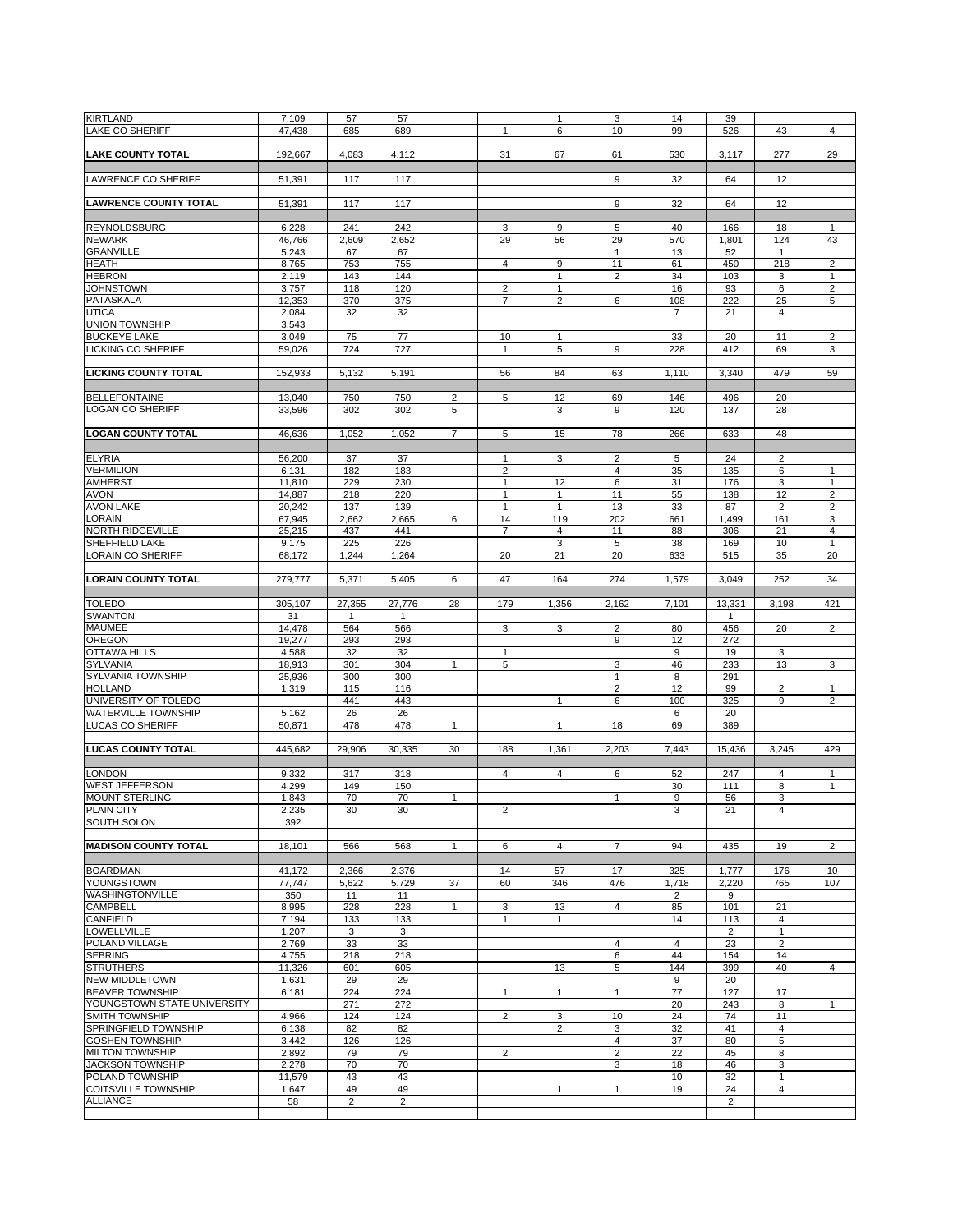| <b>KIRTLAND</b>              | 7,109   | 57             | 57             |                |                | 1              | 3                       | 14             | 39             |                |                |
|------------------------------|---------|----------------|----------------|----------------|----------------|----------------|-------------------------|----------------|----------------|----------------|----------------|
| <b>LAKE CO SHERIFF</b>       | 47,438  | 685            | 689            |                | $\mathbf{1}$   | 6              | 10                      | 99             | 526            | 43             | 4              |
|                              |         |                |                |                |                |                |                         |                |                |                |                |
| <b>LAKE COUNTY TOTAL</b>     | 192,667 | 4,083          | 4,112          |                | 31             | 67             | 61                      | 530            | 3,117          | 277            | 29             |
|                              |         |                |                |                |                |                |                         |                |                |                |                |
|                              |         |                |                |                |                |                |                         |                |                |                |                |
| <b>LAWRENCE CO SHERIFF</b>   | 51,391  | 117            | 117            |                |                |                | 9                       | 32             | 64             | 12             |                |
|                              |         |                |                |                |                |                |                         |                |                |                |                |
| <b>LAWRENCE COUNTY TOTAL</b> | 51,391  | 117            | 117            |                |                |                | 9                       | 32             | 64             | 12             |                |
|                              |         |                |                |                |                |                |                         |                |                |                |                |
| <b>REYNOLDSBURG</b>          | 6,228   | 241            | 242            |                | 3              | 9              | 5                       | 40             | 166            | 18             | $\mathbf{1}$   |
|                              |         |                |                |                |                |                |                         |                |                |                |                |
| <b>NEWARK</b>                | 46,766  | 2,609          | 2,652          |                | 29             | 56             | 29                      | 570            | 1,801          | 124            | 43             |
| <b>GRANVILLE</b>             | 5,243   | 67             | 67             |                |                |                | $\mathbf{1}$            | 13             | 52             | $\mathbf{1}$   |                |
| <b>HEATH</b>                 | 8,765   | 753            | 755            |                | $\overline{4}$ | 9              | 11                      | 61             | 450            | 218            | $\overline{2}$ |
| <b>HEBRON</b>                | 2,119   | 143            | 144            |                |                | $\mathbf{1}$   | $\overline{2}$          | 34             | 103            | 3              | 1              |
| <b>JOHNSTOWN</b>             | 3,757   | 118            | 120            |                | $\overline{2}$ | $\mathbf{1}$   |                         | 16             | 93             | 6              | $\sqrt{2}$     |
| <b>PATASKALA</b>             | 12,353  | 370            | 375            |                | $\overline{7}$ | $\overline{2}$ | 6                       | 108            | 222            | 25             | 5              |
| <b>UTICA</b>                 |         |                |                |                |                |                |                         | $\overline{7}$ |                |                |                |
|                              | 2,084   | 32             | 32             |                |                |                |                         |                | 21             | 4              |                |
| <b>UNION TOWNSHIP</b>        | 3,543   |                |                |                |                |                |                         |                |                |                |                |
| <b>BUCKEYE LAKE</b>          | 3,049   | 75             | 77             |                | 10             | 1              |                         | 33             | 20             | 11             | $\overline{2}$ |
| LICKING CO SHERIFF           | 59,026  | 724            | 727            |                | $\mathbf{1}$   | 5              | 9                       | 228            | 412            | 69             | 3              |
|                              |         |                |                |                |                |                |                         |                |                |                |                |
| <b>LICKING COUNTY TOTAL</b>  | 152,933 | 5,132          | 5,191          |                | 56             | 84             | 63                      | 1,110          | 3,340          | 479            | 59             |
|                              |         |                |                |                |                |                |                         |                |                |                |                |
|                              |         |                |                |                |                |                |                         |                |                |                |                |
| <b>BELLEFONTAINE</b>         | 13,040  | 750            | 750            | $\overline{2}$ | 5              | 12             | 69                      | 146            | 496            | 20             |                |
| <b>LOGAN CO SHERIFF</b>      | 33,596  | 302            | 302            | 5              |                | 3              | 9                       | 120            | 137            | 28             |                |
|                              |         |                |                |                |                |                |                         |                |                |                |                |
| <b>LOGAN COUNTY TOTAL</b>    | 46,636  | 1,052          | 1,052          | $\overline{7}$ | 5              | 15             | 78                      | 266            | 633            | 48             |                |
|                              |         |                |                |                |                |                |                         |                |                |                |                |
| <b>ELYRIA</b>                | 56,200  | 37             | 37             |                | $\mathbf{1}$   | 3              | 2                       | 5              | 24             | $\overline{2}$ |                |
| <b>VERMILION</b>             |         | 182            | 183            |                | $\overline{2}$ |                | 4                       |                |                | 6              | $\mathbf{1}$   |
|                              | 6,131   |                |                |                |                |                |                         | 35             | 135            |                |                |
| <b>AMHERST</b>               | 11.810  | 229            | 230            |                | $\mathbf{1}$   | 12             | 6                       | 31             | 176            | 3              | $\mathbf{1}$   |
| <b>AVON</b>                  | 14,887  | 218            | 220            |                | $\mathbf{1}$   | $\mathbf{1}$   | 11                      | 55             | 138            | 12             | $\overline{2}$ |
| <b>AVON LAKE</b>             | 20,242  | 137            | 139            |                | $\mathbf{1}$   | $\mathbf{1}$   | 13                      | 33             | 87             | $\overline{2}$ | $\overline{c}$ |
| LORAIN                       | 67,945  | 2,662          | 2,665          | 6              | 14             | 119            | 202                     | 661            | 1,499          | 161            | 3              |
| <b>NORTH RIDGEVILLE</b>      | 25,215  | 437            | 441            |                | $\overline{7}$ | 4              | 11                      | 88             | 306            | 21             | 4              |
| SHEFFIELD LAKE               | 9,175   | 225            | 226            |                |                | 3              | 5                       | 38             | 169            | 10             | $\mathbf{1}$   |
|                              |         |                |                |                |                |                |                         |                |                |                |                |
| <b>LORAIN CO SHERIFF</b>     | 68,172  | 1,244          | 1,264          |                | 20             | 21             | 20                      | 633            | 515            | 35             | 20             |
|                              |         |                |                |                |                |                |                         |                |                |                |                |
| <b>LORAIN COUNTY TOTAL</b>   | 279,777 | 5,371          | 5,405          | 6              | 47             | 164            | 274                     | 1,579          | 3,049          | 252            | 34             |
|                              |         |                |                |                |                |                |                         |                |                |                |                |
| <b>TOLEDO</b>                | 305,107 | 27,355         | 27,776         | 28             | 179            | 1,356          | 2,162                   | 7,101          | 13,331         | 3,198          | 421            |
| <b>SWANTON</b>               | 31      | -1             | 1              |                |                |                |                         |                | $\mathbf{1}$   |                |                |
| <b>MAUMEE</b>                | 14,478  | 564            | 566            |                | 3              | 3              | 2                       | 80             | 456            | 20             | $\overline{2}$ |
| OREGON                       |         |                |                |                |                |                |                         |                |                |                |                |
|                              | 19,277  | 293            | 293            |                |                |                | 9                       | 12             | 272            |                |                |
| <b>OTTAWA HILLS</b>          | 4,588   | 32             | 32             |                | $\mathbf{1}$   |                |                         | 9              | 19             | 3              |                |
| <b>SYLVANIA</b>              | 18,913  | 301            | 304            | $\mathbf{1}$   | 5              |                | 3                       | 46             | 233            | 13             | 3              |
|                              |         |                | 300            |                |                |                | $\mathbf{1}$            | 8              | 291            |                |                |
| SYLVANIA TOWNSHIP            | 25,936  | 300            |                |                |                |                |                         |                |                |                |                |
| <b>HOLLAND</b>               |         | 115            | 116            |                |                |                |                         | 12             |                |                | $\mathbf{1}$   |
|                              | 1,319   |                |                |                |                |                | $\overline{2}$          |                | 99             | 2              |                |
| UNIVERSITY OF TOLEDO         |         | 441            | 443            |                |                | $\mathbf{1}$   | 6                       | 100            | 325            | 9              | $\overline{2}$ |
| <b>WATERVILLE TOWNSHIP</b>   | 5,162   | 26             | 26             |                |                |                |                         | 6              | 20             |                |                |
| <b>LUCAS CO SHERIFF</b>      | 50,871  | 478            | 478            | 1              |                | $\mathbf{1}$   | 18                      | 69             | 389            |                |                |
|                              |         |                |                |                |                |                |                         |                |                |                |                |
| <b>LUCAS COUNTY TOTAL</b>    | 445,682 | 29,906         | 30,335         | 30             | 188            | 1,361          | 2,203                   | 7,443          | 15,436         | 3,245          | 429            |
|                              |         |                |                |                |                |                |                         |                |                |                |                |
|                              |         |                |                |                | $\overline{4}$ |                |                         |                |                |                |                |
| <b>LONDON</b>                | 9,332   | 317            | 318            |                |                | 4              | 6                       | 52             | 247            | 4              | 1              |
| <b>WEST JEFFERSON</b>        | 4,299   | 149            | 150            |                |                |                |                         | 30             | 111            | 8              | $\mathbf{1}$   |
| <b>MOUNT STERLING</b>        | 1,843   | 70             | 70             | 1              |                |                | 1                       | 9              | 56             | 3              |                |
| <b>PLAIN CITY</b>            | 2,235   | 30             | 30             |                | 2              |                |                         | 3              | 21             | 4              |                |
| SOUTH SOLON                  | 392     |                |                |                |                |                |                         |                |                |                |                |
|                              |         |                |                |                |                |                |                         |                |                |                |                |
| <b>MADISON COUNTY TOTAL</b>  | 18,101  | 566            | 568            | $\mathbf{1}$   | 6              | $\overline{4}$ | $\overline{7}$          | 94             | 435            | 19             | $\overline{2}$ |
|                              |         |                |                |                |                |                |                         |                |                |                |                |
|                              |         |                |                |                |                |                |                         |                |                |                |                |
| <b>BOARDMAN</b>              | 41.172  | 2,366          | 2,376          |                | 14             | 57             | 17                      | 325            | 1,777          | 176            | 10             |
| YOUNGSTOWN                   | 77,747  | 5,622          | 5,729          | 37             | 60             | 346            | 476                     | 1,718          | 2,220          | 765            | 107            |
| WASHINGTONVILLE              | 350     | 11             | 11             |                |                |                |                         | $\overline{2}$ | 9              |                |                |
| <b>CAMPBELL</b>              | 8,995   | 228            | 228            | $\mathbf{1}$   | 3              | 13             | $\overline{4}$          | 85             | 101            | 21             |                |
| CANFIELD                     | 7,194   | 133            | 133            |                | $\mathbf{1}$   | $\mathbf{1}$   |                         | 14             | 113            | $\overline{4}$ |                |
| <b>LOWELLVILLE</b>           | 1,207   | 3              | 3              |                |                |                |                         |                | $\overline{2}$ | $\mathbf{1}$   |                |
| POLAND VILLAGE               |         |                |                |                |                |                |                         | $\overline{4}$ |                |                |                |
|                              | 2,769   | 33             | 33             |                |                |                | 4                       |                | 23             | $\overline{2}$ |                |
| <b>SEBRING</b>               | 4,755   | 218            | 218            |                |                |                | 6                       | 44             | 154            | 14             |                |
| <b>STRUTHERS</b>             | 11,326  | 601            | 605            |                |                | 13             | 5                       | 144            | 399            | 40             | $\overline{4}$ |
| <b>NEW MIDDLETOWN</b>        | 1,631   | 29             | 29             |                |                |                |                         | 9              | 20             |                |                |
| <b>BEAVER TOWNSHIP</b>       | 6,181   | 224            | 224            |                | $\mathbf{1}$   | $\mathbf{1}$   | $\mathbf{1}$            | 77             | 127            | 17             |                |
| YOUNGSTOWN STATE UNIVERSITY  |         | 271            | 272            |                |                |                |                         | 20             | 243            | 8              | 1              |
| <b>SMITH TOWNSHIP</b>        | 4,966   | 124            | 124            |                | $\overline{2}$ | 3              | 10                      | 24             | 74             | 11             |                |
|                              | 6,138   | 82             | 82             |                |                | $\overline{2}$ | 3                       | 32             | 41             | $\overline{4}$ |                |
| <b>SPRINGFIELD TOWNSHIP</b>  |         |                |                |                |                |                |                         |                |                |                |                |
| <b>GOSHEN TOWNSHIP</b>       | 3,442   | 126            | 126            |                |                |                | 4                       | 37             | 80             | 5              |                |
| <b>MILTON TOWNSHIP</b>       | 2,892   | 79             | 79             |                | $\overline{2}$ |                | $\overline{\mathbf{c}}$ | 22             | 45             | 8              |                |
| <b>JACKSON TOWNSHIP</b>      | 2,278   | 70             | 70             |                |                |                | 3                       | 18             | 46             | 3              |                |
| POLAND TOWNSHIP              | 11,579  | 43             | 43             |                |                |                |                         | 10             | 32             | 1              |                |
| <b>COITSVILLE TOWNSHIP</b>   | 1,647   | 49             | 49             |                |                | $\mathbf{1}$   | $\mathbf{1}$            | 19             | 24             | 4              |                |
| <b>ALLIANCE</b>              | 58      | $\overline{2}$ | $\overline{2}$ |                |                |                |                         |                | $\overline{c}$ |                |                |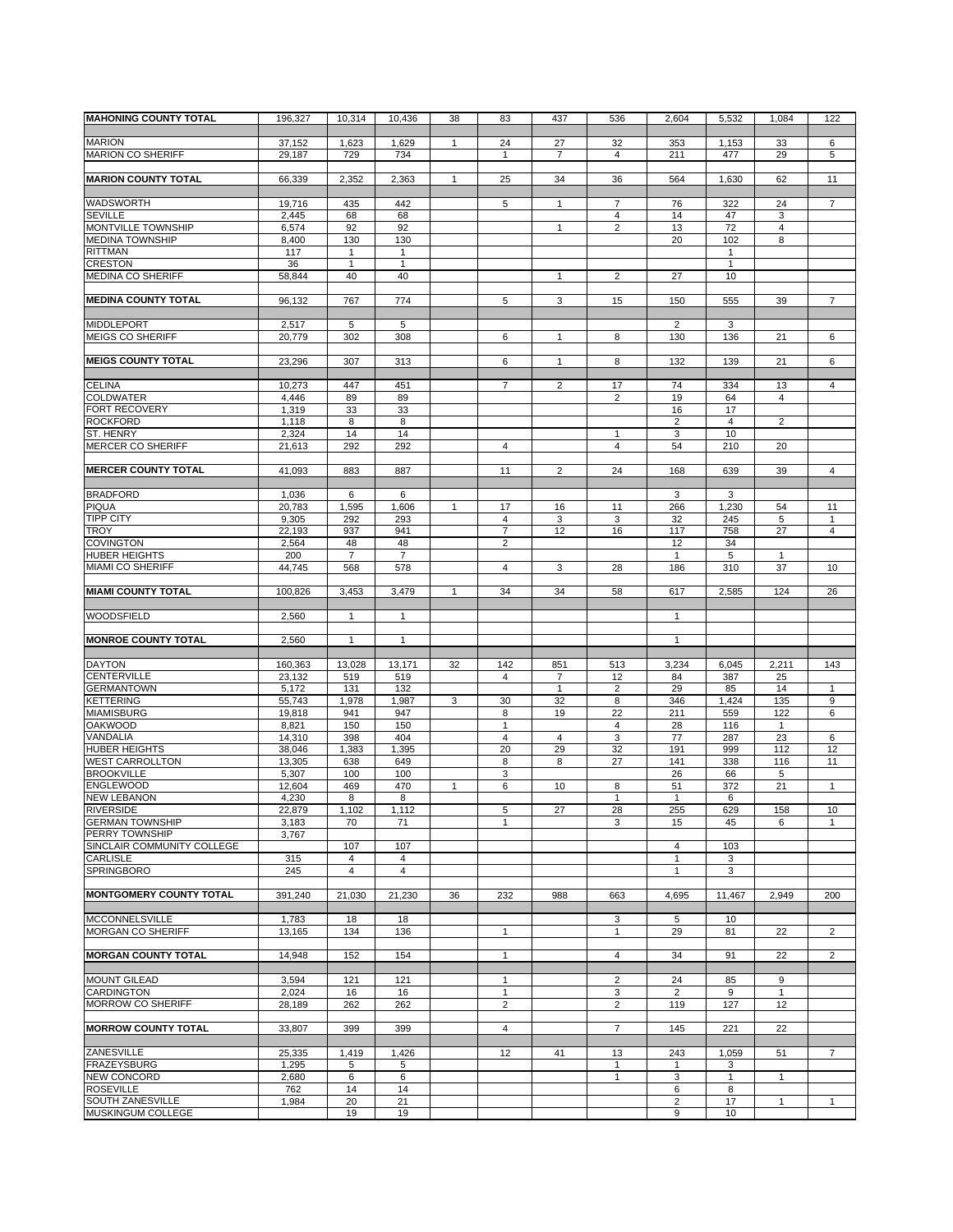| <b>MAHONING COUNTY TOTAL</b>                      | 196,327         | 10,314         | 10,436              | 38           | 83                  | 437            | 536            | 2,604                 | 5,532                | 1,084          | 122                            |
|---------------------------------------------------|-----------------|----------------|---------------------|--------------|---------------------|----------------|----------------|-----------------------|----------------------|----------------|--------------------------------|
|                                                   |                 |                |                     |              |                     |                |                |                       |                      |                |                                |
| <b>MARION</b>                                     | 37,152          | 1,623          | 1,629               | 1            | 24                  | 27             | 32             | 353                   | 1,153                | 33             | 6                              |
| <b>MARION CO SHERIFF</b>                          | 29,187          | 729            | 734                 |              | $\mathbf{1}$        | $\overline{7}$ | 4              | 211                   | 477                  | 29             | 5                              |
| <b>MARION COUNTY TOTAL</b>                        | 66,339          | 2,352          | 2,363               | $\mathbf{1}$ | 25                  | 34             | 36             | 564                   | 1,630                | 62             | 11                             |
|                                                   |                 |                |                     |              |                     |                |                |                       |                      |                |                                |
| <b>WADSWORTH</b>                                  | 19,716          | 435            | 442                 |              | 5                   | $\mathbf{1}$   | $\overline{7}$ | 76                    | 322                  | 24             | $\overline{7}$                 |
| <b>SEVILLE</b>                                    | 2,445           | 68             | 68                  |              |                     |                | 4              | 14                    | 47                   | 3              |                                |
| MONTVILLE TOWNSHIP                                | 6,574           | 92             | 92                  |              |                     | 1              | $\overline{2}$ | 13                    | 72                   | 4              |                                |
| <b>MEDINA TOWNSHIP</b><br><b>RITTMAN</b>          | 8,400<br>117    | 130<br>1       | 130<br>$\mathbf{1}$ |              |                     |                |                | 20                    | 102<br>$\mathbf{1}$  | 8              |                                |
| <b>CRESTON</b>                                    | 36              | $\mathbf{1}$   | $\mathbf{1}$        |              |                     |                |                |                       | $\mathbf{1}$         |                |                                |
| <b>MEDINA CO SHERIFF</b>                          | 58,844          | 40             | 40                  |              |                     | $\mathbf{1}$   | $\overline{2}$ | 27                    | 10                   |                |                                |
|                                                   |                 |                |                     |              |                     |                |                |                       |                      |                |                                |
| <b>MEDINA COUNTY TOTAL</b>                        | 96.132          | 767            | 774                 |              | 5                   | 3              | 15             | 150                   | 555                  | 39             | $\overline{7}$                 |
|                                                   |                 |                |                     |              |                     |                |                |                       |                      |                |                                |
| <b>MIDDLEPORT</b><br><b>MEIGS CO SHERIFF</b>      | 2,517<br>20,779 | 5<br>302       | 5<br>308            |              | 6                   | 1              | 8              | $\overline{2}$<br>130 | 3<br>136             | 21             | 6                              |
|                                                   |                 |                |                     |              |                     |                |                |                       |                      |                |                                |
| <b>MEIGS COUNTY TOTAL</b>                         | 23,296          | 307            | 313                 |              | 6                   | $\mathbf{1}$   | 8              | 132                   | 139                  | 21             | 6                              |
|                                                   |                 |                |                     |              |                     |                |                |                       |                      |                |                                |
| <b>CELINA</b>                                     | 10,273          | 447            | 451                 |              | $\overline{7}$      | $\overline{2}$ | 17             | 74                    | 334                  | 13             | $\overline{4}$                 |
| <b>COLDWATER</b>                                  | 4,446           | 89             | 89                  |              |                     |                | $\overline{2}$ | 19                    | 64                   | 4              |                                |
| <b>FORT RECOVERY</b>                              | 1,319           | 33             | 33                  |              |                     |                |                | 16                    | 17                   |                |                                |
| <b>ROCKFORD</b><br>ST. HENRY                      | 1,118<br>2,324  | 8<br>14        | 8<br>14             |              |                     |                | 1              | $\overline{2}$<br>3   | $\overline{4}$<br>10 | $\overline{2}$ |                                |
| <b>MERCER CO SHERIFF</b>                          | 21,613          | 292            | 292                 |              | $\overline{4}$      |                | 4              | 54                    | 210                  | 20             |                                |
|                                                   |                 |                |                     |              |                     |                |                |                       |                      |                |                                |
| <b>MERCER COUNTY TOTAL</b>                        | 41,093          | 883            | 887                 |              | 11                  | $\overline{2}$ | 24             | 168                   | 639                  | 39             | $\overline{4}$                 |
|                                                   |                 |                |                     |              |                     |                |                |                       |                      |                |                                |
| <b>BRADFORD</b>                                   | 1,036           | 6              | 6                   |              |                     |                |                | 3                     | 3                    |                |                                |
| <b>PIQUA</b>                                      | 20,783          | 1,595          | 1,606               | 1            | 17                  | 16             | 11             | 266                   | 1,230                | 54             | 11                             |
| <b>TIPP CITY</b><br><b>TROY</b>                   | 9,305           | 292<br>937     | 293<br>941          |              | $\overline{4}$      | 3<br>12        | 3<br>16        | 32<br>117             | 245                  | 5<br>27        | $\mathbf{1}$<br>$\overline{4}$ |
| <b>COVINGTON</b>                                  | 22,193<br>2,564 | 48             | 48                  |              | 7<br>$\overline{2}$ |                |                | 12                    | 758<br>34            |                |                                |
| <b>HUBER HEIGHTS</b>                              | 200             | $\overline{7}$ | $\overline{7}$      |              |                     |                |                | $\mathbf{1}$          | 5                    | $\mathbf{1}$   |                                |
| <b>MIAMI CO SHERIFF</b>                           | 44,745          | 568            | 578                 |              | $\overline{4}$      | 3              | 28             | 186                   | 310                  | 37             | 10                             |
|                                                   |                 |                |                     |              |                     |                |                |                       |                      |                |                                |
| <b>MIAMI COUNTY TOTAL</b>                         | 100,826         | 3,453          | 3,479               | 1            | 34                  | 34             | 58             | 617                   | 2,585                | 124            | 26                             |
|                                                   |                 |                |                     |              |                     |                |                |                       |                      |                |                                |
| <b>WOODSFIELD</b>                                 | 2,560           | $\mathbf{1}$   | $\mathbf{1}$        |              |                     |                |                | $\mathbf{1}$          |                      |                |                                |
| <b>MONROE COUNTY TOTAL</b>                        | 2,560           | $\mathbf{1}$   | $\mathbf{1}$        |              |                     |                |                | $\mathbf{1}$          |                      |                |                                |
|                                                   |                 |                |                     |              |                     |                |                |                       |                      |                |                                |
| <b>DAYTON</b>                                     | 160,363         | 13,028         | 13,171              | 32           | 142                 | 851            | 513            | 3,234                 | 6,045                | 2,211          | 143                            |
| <b>CENTERVILLE</b>                                | 23,132          | 519            | 519                 |              | $\overline{4}$      | $\overline{7}$ | 12             | 84                    | 387                  | 25             |                                |
| <b>GERMANTOWN</b>                                 | 5,172           | 131            | 132                 |              |                     | $\mathbf{1}$   | $\overline{2}$ | 29                    | 85                   | 14             | $\mathbf{1}$                   |
| <b>KETTERING</b>                                  | 55,743          | 1,978          | 1,987               | 3            | 30                  | 32             | 8              | 346                   | 1,424                | 135            | 9                              |
| <b>MIAMISBURG</b><br><b>OAKWOOD</b>               | 19,818<br>8,821 | 941<br>150     | 947<br>150          |              | 8<br>1              | 19             | 22<br>4        | 211<br>28             | 559<br>116           | 122<br>1       | 6                              |
| VANDALIA                                          | 14,310          | 398            | 404                 |              | $\overline{4}$      | $\overline{4}$ | 3              | 77                    | 287                  | 23             | 6                              |
| <b>HUBER HEIGHTS</b>                              | 38,046          | 1,383          | 1,395               |              | 20                  | 29             | 32             | 191                   | 999                  | 112            | 12                             |
| <b>WEST CARROLLTON</b>                            | 13,305          | 638            | 649                 |              | 8                   | 8              | 27             | 141                   | 338                  | 116            | 11                             |
| <b>BROOKVILLE</b>                                 | 5,307           | 100            | 100                 |              | 3                   |                |                | 26                    | 66                   | 5              |                                |
| <b>ENGLEWOOD</b>                                  | 12,604          | 469            | 470                 |              | 6                   | 10             | 8              | 51                    | 372                  | 21             | $\mathbf{1}$                   |
| <b>NEW LEBANON</b>                                | 4,230           | 8              | 8                   |              |                     |                | $\mathbf{1}$   | $\mathbf{1}$          | 6                    |                |                                |
| <b>RIVERSIDE</b>                                  | 22,879          | 1,102          | 1,112               |              | b                   | 27             | 28             | 255                   | 629                  | 158            | 1υ                             |
| <b>GERMAN TOWNSHIP</b><br>PERRY TOWNSHIP          | 3,183           | 70             | 71                  |              | $\mathbf{1}$        |                | 3              | 15                    | 45                   | 6              | $\mathbf{1}$                   |
| SINCLAIR COMMUNITY COLLEGE                        | 3,767           | 107            | 107                 |              |                     |                |                | $\overline{4}$        | 103                  |                |                                |
| CARLISLE                                          | 315             | $\overline{4}$ | $\overline{4}$      |              |                     |                |                | $\mathbf{1}$          | 3                    |                |                                |
| SPRINGBORO                                        | 245             | $\overline{4}$ | $\overline{4}$      |              |                     |                |                | $\mathbf{1}$          | 3                    |                |                                |
|                                                   |                 |                |                     |              |                     |                |                |                       |                      |                |                                |
| <b>MONTGOMERY COUNTY TOTAL</b>                    | 391,240         | 21,030         | 21,230              | 36           | 232                 | 988            | 663            | 4,695                 | 11,467               | 2,949          | 200                            |
|                                                   |                 |                |                     |              |                     |                |                |                       |                      |                |                                |
| <b>MCCONNELSVILLE</b><br><b>MORGAN CO SHERIFF</b> | 1,783           | 18             | 18                  |              | $\mathbf{1}$        |                | 3              | 5                     | 10                   |                |                                |
|                                                   | 13,165          | 134            | 136                 |              |                     |                | 1              | 29                    | 81                   | 22             | $\overline{2}$                 |
| <b>MORGAN COUNTY TOTAL</b>                        | 14,948          | 152            | 154                 |              | $\mathbf{1}$        |                | 4              | 34                    | 91                   | 22             | $\overline{2}$                 |
|                                                   |                 |                |                     |              |                     |                |                |                       |                      |                |                                |
| <b>MOUNT GILEAD</b>                               | 3,594           | 121            | 121                 |              | $\mathbf{1}$        |                | 2              | 24                    | 85                   | 9              |                                |
| CARDINGTON                                        | 2,024           | 16             | 16                  |              | $\mathbf{1}$        |                | 3              | $\overline{2}$        | 9                    | $\mathbf{1}$   |                                |
| MORROW CO SHERIFF                                 | 28,189          | 262            | 262                 |              | $\overline{2}$      |                | $\overline{2}$ | 119                   | 127                  | 12             |                                |
| <b>MORROW COUNTY TOTAL</b>                        | 33,807          | 399            | 399                 |              | $\overline{4}$      |                | $\overline{7}$ | 145                   | 221                  | 22             |                                |
|                                                   |                 |                |                     |              |                     |                |                |                       |                      |                |                                |
| ZANESVILLE                                        | 25,335          | 1,419          | 1,426               |              | 12                  | 41             | 13             | 243                   | 1,059                | 51             | $\overline{7}$                 |
| <b>FRAZEYSBURG</b>                                | 1,295           | 5              | 5                   |              |                     |                | $\mathbf{1}$   | $\mathbf{1}$          | 3                    |                |                                |
| <b>NEW CONCORD</b>                                | 2,680           | 6              | 6                   |              |                     |                | 1              | 3                     | 1                    | $\mathbf{1}$   |                                |
| <b>ROSEVILLE</b>                                  | 762             | 14             | 14                  |              |                     |                |                | 6                     | 8                    |                |                                |
| SOUTH ZANESVILLE                                  | 1,984           | 20             | 21                  |              |                     |                |                | 2                     | 17                   | $\mathbf{1}$   | $\mathbf{1}$                   |
| MUSKINGUM COLLEGE                                 |                 | 19             | 19                  |              |                     |                |                | 9                     | 10                   |                |                                |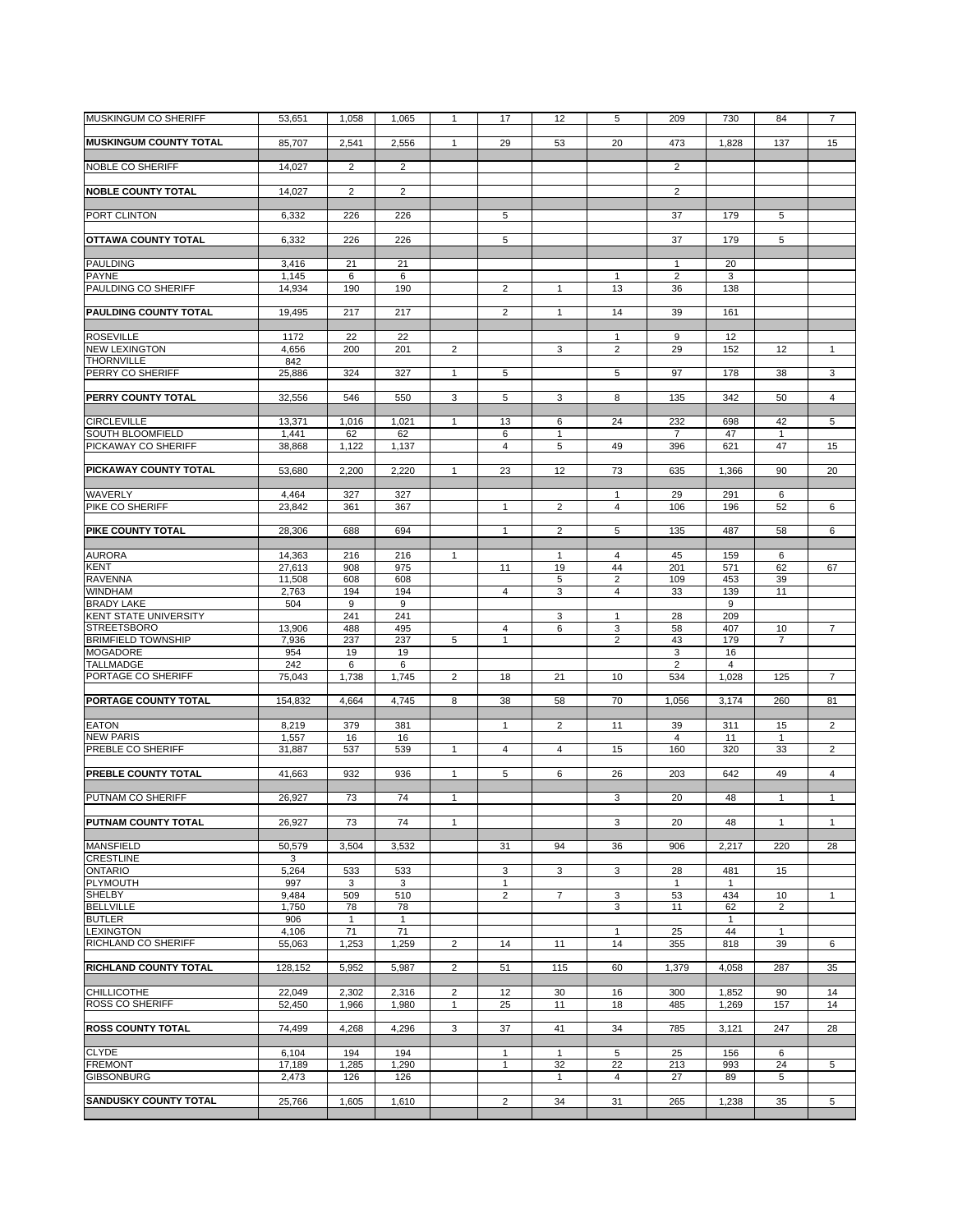| <b>MUSKINGUM CO SHERIFF</b>                     | 53,651           | 1,058          | 1,065          | $\mathbf{1}$                   | 17                | 12             | 5                             | 209            | 730            | 84                   | $\overline{7}$ |
|-------------------------------------------------|------------------|----------------|----------------|--------------------------------|-------------------|----------------|-------------------------------|----------------|----------------|----------------------|----------------|
| <b>MUSKINGUM COUNTY TOTAL</b>                   | 85,707           | 2,541          | 2,556          | $\mathbf{1}$                   | 29                | 53             | 20                            | 473            | 1,828          | 137                  | 15             |
| NOBLE CO SHERIFF                                | 14,027           | $\overline{2}$ | 2              |                                |                   |                |                               | $\overline{2}$ |                |                      |                |
| <b>NOBLE COUNTY TOTAL</b>                       | 14,027           | $\overline{2}$ | 2              |                                |                   |                |                               | 2              |                |                      |                |
| PORT CLINTON                                    | 6,332            | 226            | 226            |                                | 5                 |                |                               | 37             | 179            | 5                    |                |
| OTTAWA COUNTY TOTAL                             | 6,332            | 226            | 226            |                                | 5                 |                |                               | 37             | 179            | 5                    |                |
| PAULDING                                        | 3,416            | 21             | 21             |                                |                   |                |                               | 1              | 20             |                      |                |
| <b>PAYNE</b>                                    | 1,145            | 6              | 6              |                                |                   |                | 1                             | $\overline{2}$ | 3              |                      |                |
| PAULDING CO SHERIFF                             | 14,934           | 190            | 190            |                                | $\overline{2}$    | 1              | 13                            | 36             | 138            |                      |                |
| <b>PAULDING COUNTY TOTAL</b>                    | 19,495           | 217            | 217            |                                | $\overline{2}$    | $\mathbf{1}$   | 14                            | 39             | 161            |                      |                |
| <b>ROSEVILLE</b>                                | 1172             | 22             | 22             |                                |                   |                | $\mathbf{1}$                  | 9              | 12             |                      |                |
| <b>NEW LEXINGTON</b><br><b>THORNVILLE</b>       | 4,656<br>842     | 200            | 201            | $\overline{2}$                 |                   | 3              | $\overline{2}$                | 29             | 152            | 12                   | $\mathbf{1}$   |
| PERRY CO SHERIFF                                | 25,886           | 324            | 327            | $\mathbf{1}$                   | 5                 |                | 5                             | 97             | 178            | 38                   | 3              |
|                                                 |                  |                |                |                                |                   |                |                               |                |                |                      |                |
| PERRY COUNTY TOTAL                              | 32,556           | 546            | 550            | 3                              | 5                 | 3              | 8                             | 135            | 342            | 50                   | $\overline{4}$ |
| <b>CIRCLEVILLE</b>                              | 13,371           | 1,016          | 1,021          | 1                              | 13                | 6              | 24                            | 232            | 698            | 42                   | 5              |
| <b>SOUTH BLOOMFIELD</b>                         | 1,441            | 62             | 62             |                                | 6                 | $\mathbf{1}$   |                               | $\overline{7}$ | 47             | $\overline{1}$       |                |
| PICKAWAY CO SHERIFF                             | 38,868           | 1,122          | 1,137          |                                | $\overline{4}$    | 5              | 49                            | 396            | 621            | 47                   | 15             |
| PICKAWAY COUNTY TOTAL                           | 53,680           | 2,200          | 2,220          | 1                              | 23                | 12             | 73                            | 635            | 1,366          | 90                   | 20             |
| WAVERLY                                         | 4,464            | 327            | 327            |                                |                   |                | 1                             | 29             | 291            | 6                    |                |
| PIKE CO SHERIFF                                 | 23,842           | 361            | 367            |                                | $\mathbf{1}$      | $\overline{2}$ | $\overline{4}$                | 106            | 196            | 52                   | 6              |
|                                                 |                  |                |                |                                |                   |                |                               |                |                |                      |                |
| PIKE COUNTY TOTAL                               | 28,306           | 688            | 694            |                                | $\mathbf{1}$      | $\overline{2}$ | 5                             | 135            | 487            | 58                   | 6              |
| <b>AURORA</b>                                   | 14,363           | 216            | 216            | $\mathbf{1}$                   |                   | $\mathbf{1}$   | 4                             | 45             | 159            | 6                    |                |
| <b>KENT</b><br><b>RAVENNA</b>                   | 27,613<br>11,508 | 908<br>608     | 975<br>608     |                                | 11                | 19<br>5        | 44<br>$\overline{\mathbf{c}}$ | 201<br>109     | 571<br>453     | 62<br>39             | 67             |
| <b>WINDHAM</b>                                  | 2,763            | 194            | 194            |                                | 4                 | 3              | 4                             | 33             | 139            | 11                   |                |
| <b>BRADY LAKE</b>                               | 504              | 9              | 9              |                                |                   |                |                               |                | 9              |                      |                |
| KENT STATE UNIVERSITY                           |                  | 241            | 241            |                                |                   | 3              | $\mathbf{1}$                  | 28             | 209            |                      |                |
| <b>STREETSBORO</b><br><b>BRIMFIELD TOWNSHIP</b> | 13,906<br>7,936  | 488<br>237     | 495<br>237     | 5                              | 4<br>$\mathbf{1}$ | 6              | 3<br>$\overline{2}$           | 58<br>43       | 407<br>179     | 10<br>$\overline{7}$ | $\overline{7}$ |
| <b>MOGADORE</b>                                 | 954              | 19             | 19             |                                |                   |                |                               | 3              | 16             |                      |                |
| <b>TALLMADGE</b>                                | 242              | 6              | 6              |                                |                   |                |                               | $\overline{2}$ | $\overline{4}$ |                      |                |
| PORTAGE CO SHERIFF                              | 75,043           | 1,738          | 1,745          | $\overline{2}$                 | 18                | 21             | 10                            | 534            | 1,028          | 125                  | $\overline{7}$ |
| PORTAGE COUNTY TOTAL                            | 154,832          | 4,664          | 4,745          | 8                              | 38                | 58             | 70                            | 1,056          | 3,174          | 260                  | 81             |
| <b>EATON</b>                                    | 8,219            | 379            | 381            |                                | $\mathbf{1}$      | $\overline{c}$ | 11                            | 39             | 311            | 15                   | $\overline{2}$ |
| <b>NEW PARIS</b>                                | 1,557            | 16             | 16             |                                |                   |                |                               | $\overline{4}$ | 11             | $\mathbf{1}$         |                |
| PREBLE CO SHERIFF                               | 31,887           | 537            | 539            | $\mathbf{1}$                   | 4                 | 4              | 15                            | 160            | 320            | 33                   | 2              |
| <b>PREBLE COUNTY TOTAL</b>                      | 41,663           | 932            | 936            | 1                              | 5                 | 6              | 26                            | 203            | 642            | 49                   | $\overline{4}$ |
| PUTNAM CO SHERIFF                               | 26,927           | 73             | 74             | $\mathbf{1}$                   |                   |                | 3                             | 20             | 48             | 1                    | $\mathbf{1}$   |
| <b>PUTNAM COUNTY TOTAL</b>                      | 26,927           | 73             | 74             | $\mathbf{1}$                   |                   |                | 3                             | 20             | 48             | 1                    | 1              |
|                                                 |                  |                |                |                                |                   |                |                               |                |                |                      |                |
| <b>MANSFIELD</b><br><b>CRESTLINE</b>            | 50,579<br>3      | 3,504          | 3,532          |                                | 31                | 94             | 36                            | 906            | 2,217          | 220                  | 28             |
| <b>ONTARIO</b>                                  | 5,264            | 533            | 533            |                                | 3                 | 3              | 3                             | 28             | 481            | 15                   |                |
| PLYMOUTH                                        | 997              | 3              | 3              |                                | $\mathbf{1}$      |                |                               | $\mathbf{1}$   | $\mathbf{1}$   |                      |                |
| SHELBY<br><b>BELLVILLE</b>                      | 9,484<br>1,750   | 509<br>78      | 510<br>78      |                                | $\overline{2}$    | $\overline{7}$ | 3<br>3                        | 53<br>11       | 434<br>62      | 10<br>$\overline{2}$ | $\mathbf{1}$   |
| <b>BUTLER</b>                                   | 906              | $\mathbf{1}$   | $\mathbf{1}$   |                                |                   |                |                               |                | $\mathbf{1}$   |                      |                |
| <b>LEXINGTON</b>                                | 4,106            | 71             | 71             |                                |                   |                | 1                             | 25             | 44             | 1                    |                |
| RICHLAND CO SHERIFF                             | 55,063           | 1,253          | 1,259          | $\overline{2}$                 | 14                | 11             | 14                            | 355            | 818            | 39                   | 6              |
| RICHLAND COUNTY TOTAL                           | 128,152          | 5,952          | 5,987          | $\overline{2}$                 | 51                | 115            | 60                            | 1,379          | 4,058          | 287                  | 35             |
|                                                 |                  |                |                |                                |                   |                |                               |                |                |                      |                |
| CHILLICOTHE<br>ROSS CO SHERIFF                  | 22,049<br>52,450 | 2,302<br>1,966 | 2,316<br>1,980 | $\overline{2}$<br>$\mathbf{1}$ | 12<br>25          | 30<br>11       | 16<br>18                      | 300<br>485     | 1,852<br>1,269 | 90<br>157            | 14<br>14       |
|                                                 |                  |                |                |                                |                   |                |                               |                |                |                      |                |
| <b>ROSS COUNTY TOTAL</b>                        | 74,499           | 4,268          | 4,296          | 3                              | 37                | 41             | 34                            | 785            | 3,121          | 247                  | 28             |
| <b>CLYDE</b>                                    | 6,104            | 194            | 194            |                                | $\mathbf{1}$      | 1              | 5                             | 25             | 156            | 6                    |                |
| <b>FREMONT</b>                                  | 17,189           | 1,285          | 1,290          |                                | $\mathbf{1}$      | 32             | 22                            | 213            | 993            | 24                   | 5              |
| <b>GIBSONBURG</b>                               | 2,473            | 126            | 126            |                                |                   | $\mathbf{1}$   | 4                             | 27             | 89             | 5                    |                |
| <b>SANDUSKY COUNTY TOTAL</b>                    | 25,766           | 1,605          | 1,610          |                                | $\overline{c}$    | 34             | 31                            | 265            | 1,238          | 35                   | 5              |
|                                                 |                  |                |                |                                |                   |                |                               |                |                |                      |                |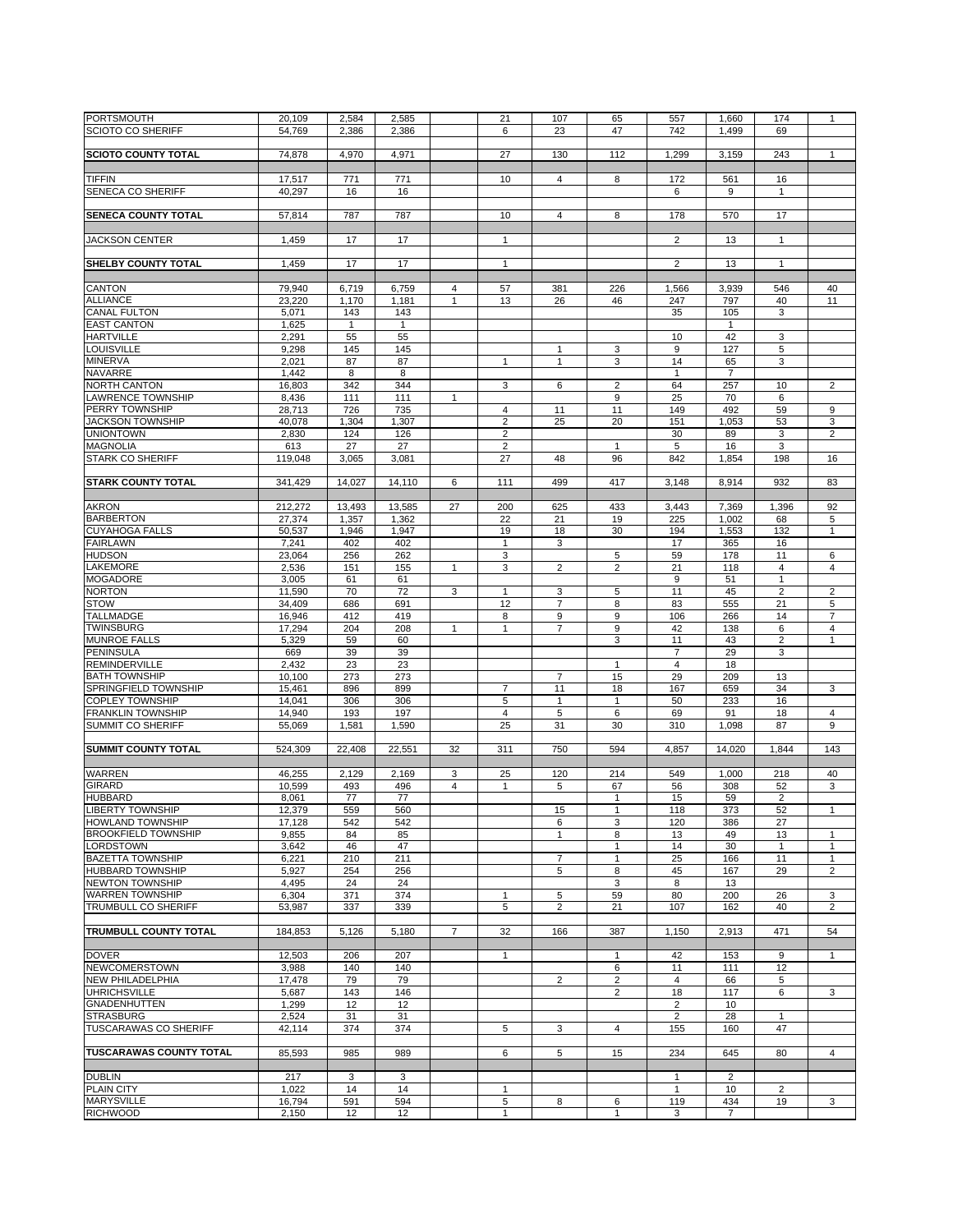| <b>PORTSMOUTH</b>              | 20,109  | 2,584        | 2,585        |                | 21             | 107                     | 65                      | 557            | 1,660          | 174                     | $\mathbf{1}$   |
|--------------------------------|---------|--------------|--------------|----------------|----------------|-------------------------|-------------------------|----------------|----------------|-------------------------|----------------|
| <b>SCIOTO CO SHERIFF</b>       | 54,769  | 2,386        | 2,386        |                | 6              | 23                      | 47                      | 742            | 1,499          | 69                      |                |
|                                |         |              |              |                |                |                         |                         |                |                |                         |                |
|                                |         |              |              |                |                |                         |                         |                |                |                         |                |
| <b>SCIOTO COUNTY TOTAL</b>     | 74,878  | 4,970        | 4,971        |                | 27             | 130                     | 112                     | 1,299          | 3,159          | 243                     | $\mathbf{1}$   |
|                                |         |              |              |                |                |                         |                         |                |                |                         |                |
| <b>TIFFIN</b>                  | 17,517  | 771          | 771          |                | 10             | 4                       | 8                       | 172            | 561            | 16                      |                |
|                                |         |              |              |                |                |                         |                         |                |                |                         |                |
| SENECA CO SHERIFF              | 40.297  | 16           | 16           |                |                |                         |                         | 6              | 9              | $\mathbf{1}$            |                |
|                                |         |              |              |                |                |                         |                         |                |                |                         |                |
| <b>SENECA COUNTY TOTAL</b>     | 57,814  | 787          | 787          |                | 10             | $\overline{4}$          | 8                       | 178            | 570            | 17                      |                |
|                                |         |              |              |                |                |                         |                         |                |                |                         |                |
|                                |         |              |              |                |                |                         |                         |                |                |                         |                |
| <b>JACKSON CENTER</b>          | 1,459   | 17           | 17           |                | $\mathbf{1}$   |                         |                         | $\overline{2}$ | 13             | $\mathbf{1}$            |                |
|                                |         |              |              |                |                |                         |                         |                |                |                         |                |
|                                |         |              |              |                |                |                         |                         |                |                |                         |                |
| SHELBY COUNTY TOTAL            | 1,459   | 17           | 17           |                | $\mathbf{1}$   |                         |                         | $\overline{2}$ | 13             | $\mathbf{1}$            |                |
|                                |         |              |              |                |                |                         |                         |                |                |                         |                |
| <b>CANTON</b>                  | 79,940  | 6,719        | 6,759        | 4              | 57             | 381                     | 226                     | 1,566          | 3,939          | 546                     | 40             |
|                                |         |              |              |                |                |                         |                         |                |                |                         |                |
| <b>ALLIANCE</b>                | 23,220  | 1,170        | 1,181        | $\mathbf{1}$   | 13             | 26                      | 46                      | 247            | 797            | 40                      | 11             |
| <b>CANAL FULTON</b>            | 5,071   | 143          | 143          |                |                |                         |                         | 35             | 105            | 3                       |                |
| <b>EAST CANTON</b>             |         | $\mathbf{1}$ | $\mathbf{1}$ |                |                |                         |                         |                | $\mathbf{1}$   |                         |                |
|                                | 1,625   |              |              |                |                |                         |                         |                |                |                         |                |
| <b>HARTVILLE</b>               | 2,291   | 55           | 55           |                |                |                         |                         | 10             | 42             | 3                       |                |
| <b>LOUISVILLE</b>              | 9,298   | 145          | 145          |                |                | $\mathbf{1}$            | 3                       | 9              | 127            | 5                       |                |
|                                |         |              |              |                |                |                         |                         |                |                |                         |                |
| <b>MINERVA</b>                 | 2,021   | 87           | 87           |                | $\mathbf{1}$   | 1                       | 3                       | 14             | 65             | 3                       |                |
| <b>NAVARRE</b>                 | 1,442   | 8            | 8            |                |                |                         |                         | $\mathbf{1}$   | $\overline{7}$ |                         |                |
| <b>NORTH CANTON</b>            | 16,803  | 342          | 344          |                | 3              | 6                       | $\overline{2}$          | 64             | 257            | 10                      | $\overline{2}$ |
|                                |         |              |              |                |                |                         |                         |                |                |                         |                |
| <b>LAWRENCE TOWNSHIP</b>       | 8,436   | 111          | 111          | 1              |                |                         | 9                       | 25             | 70             | 6                       |                |
| PERRY TOWNSHIP                 | 28,713  | 726          | 735          |                | $\overline{4}$ | 11                      | 11                      | 149            | 492            | 59                      | 9              |
| <b>JACKSON TOWNSHIP</b>        | 40,078  | 1,304        | 1,307        |                | $\overline{2}$ | 25                      | 20                      | 151            | 1,053          | 53                      | 3              |
|                                |         |              |              |                |                |                         |                         |                |                |                         |                |
| <b>UNIONTOWN</b>               | 2,830   | 124          | 126          |                | $\overline{2}$ |                         |                         | 30             | 89             | 3                       | 2              |
| <b>MAGNOLIA</b>                | 613     | 27           | 27           |                | $\overline{2}$ |                         | $\mathbf{1}$            | 5              | 16             | 3                       |                |
|                                |         |              |              |                |                |                         |                         |                |                |                         |                |
| <b>STARK CO SHERIFF</b>        | 119,048 | 3,065        | 3,081        |                | 27             | 48                      | 96                      | 842            | 1,854          | 198                     | 16             |
|                                |         |              |              |                |                |                         |                         |                |                |                         |                |
| <b>STARK COUNTY TOTAL</b>      | 341.429 | 14,027       | 14.110       | 6              | 111            | 499                     | 417                     | 3,148          | 8,914          | 932                     | 83             |
|                                |         |              |              |                |                |                         |                         |                |                |                         |                |
|                                |         |              |              |                |                |                         |                         |                |                |                         |                |
| <b>AKRON</b>                   | 212,272 | 13,493       | 13,585       | 27             | 200            | 625                     | 433                     | 3,443          | 7,369          | 1,396                   | 92             |
| <b>BARBERTON</b>               | 27.374  | 1,357        | 1,362        |                | 22             | 21                      | 19                      | 225            | 1,002          | 68                      | 5              |
| <b>CUYAHOGA FALLS</b>          | 50,537  | 1,946        | 1,947        |                | 19             | 18                      | 30                      | 194            | 1,553          | 132                     | $\mathbf{1}$   |
|                                |         |              |              |                |                |                         |                         |                |                |                         |                |
| <b>FAIRLAWN</b>                | 7,241   | 402          | 402          |                | $\mathbf{1}$   | 3                       |                         | 17             | 365            | 16                      |                |
| <b>HUDSON</b>                  | 23,064  | 256          | 262          |                | 3              |                         | 5                       | 59             | 178            | 11                      | 6              |
|                                |         |              |              |                |                |                         |                         |                |                |                         |                |
| <b>LAKEMORE</b>                | 2,536   | 151          | 155          | $\mathbf{1}$   | 3              | $\overline{c}$          | $\overline{2}$          | 21             | 118            | $\overline{4}$          | $\overline{4}$ |
| <b>MOGADORE</b>                | 3,005   | 61           | 61           |                |                |                         |                         | 9              | 51             | $\mathbf{1}$            |                |
| <b>NORTON</b>                  | 11,590  | 70           | 72           | 3              | $\mathbf{1}$   | 3                       | 5                       | 11             | 45             | $\overline{2}$          | $\overline{2}$ |
|                                |         |              |              |                |                |                         |                         |                |                |                         |                |
| <b>STOW</b>                    | 34,409  | 686          | 691          |                | 12             | 7                       | 8                       | 83             | 555            | 21                      | 5              |
| <b>TALLMADGE</b>               | 16,946  | 412          | 419          |                | 8              | 9                       | 9                       | 106            | 266            | 14                      | $\overline{7}$ |
| <b>TWINSBURG</b>               | 17,294  | 204          | 208          | $\mathbf{1}$   | $\mathbf{1}$   | $\overline{7}$          | 9                       | 42             | 138            | 6                       | $\overline{4}$ |
|                                |         |              |              |                |                |                         |                         |                |                |                         |                |
| <b>MUNROE FALLS</b>            | 5,329   | 59           | 60           |                |                |                         | 3                       | 11             | 43             | 2                       | 1              |
| PENINSULA                      | 669     | 39           | 39           |                |                |                         |                         | $\overline{7}$ | 29             | 3                       |                |
| <b>REMINDERVILLE</b>           | 2,432   | 23           | 23           |                |                |                         | $\mathbf{1}$            | $\overline{4}$ | 18             |                         |                |
|                                |         |              |              |                |                |                         |                         |                |                |                         |                |
| <b>BATH TOWNSHIP</b>           | 10,100  | 273          | 273          |                |                | $\overline{7}$          | 15                      | 29             | 209            | 13                      |                |
| SPRINGFIELD TOWNSHIP           | 15,461  | 896          | 899          |                | $\overline{7}$ | 11                      | 18                      | 167            | 659            | 34                      | 3              |
| <b>COPLEY TOWNSHIP</b>         | 14,041  | 306          | 306          |                | 5              | 1                       | $\mathbf{1}$            | 50             | 233            | 16                      |                |
|                                |         |              |              |                |                |                         |                         |                |                |                         |                |
| <b>FRANKLIN TOWNSHIP</b>       | 14,940  | 193          | 197          |                | $\overline{4}$ | 5                       | 6                       | 69             | 91             | 18                      | $\overline{4}$ |
| <b>SUMMIT CO SHERIFF</b>       | 55,069  | 1,581        | 1,590        |                | 25             | 31                      | 30                      | 310            | 1,098          | 87                      | 9              |
|                                |         |              |              |                |                |                         |                         |                |                |                         |                |
|                                |         |              |              |                |                |                         |                         |                |                |                         |                |
| <b>SUMMIT COUNTY TOTAL</b>     | 524,309 | 22,408       | 22,551       | 32             | 311            | 750                     | 594                     | 4,857          | 14,020         | 1,844                   | 143            |
|                                |         |              |              |                |                |                         |                         |                |                |                         |                |
| <b>WARREN</b>                  | 46,255  | 2,129        | 2,169        | 3              | 25             | 120                     | 214                     | 549            | 1,000          | 218                     | 40             |
|                                |         |              |              |                |                |                         |                         |                |                |                         |                |
| <b>GIRARD</b>                  | 10,599  | 493          | 496          | $\overline{4}$ | $\mathbf{1}$   | 5                       | 67                      | 56             | 308            | 52                      | 3              |
| <b>HUBBARD</b>                 | 8,061   | 77           | 77           |                |                |                         | $\mathbf{1}$            | 15             | 59             | $\overline{\mathbf{c}}$ |                |
|                                |         |              |              |                |                |                         |                         |                |                |                         |                |
| <b>LIBERTY TOWNSHIP</b>        | 12,379  | 559          | 560          |                |                | 15                      | 1                       | 118            | 373            | 52                      | 1              |
| <b>HOWLAND TOWNSHIP</b>        | 17,128  | 542          | 542          |                |                | 6                       | 3                       | 120            | 386            | 27                      |                |
| <b>BROOKFIELD TOWNSHIP</b>     | 9,855   | 84           | 85           |                |                | 1                       | 8                       | 13             | 49             | 13                      | $\mathbf{1}$   |
| <b>LORDSTOWN</b>               |         |              |              |                |                |                         |                         |                |                |                         |                |
|                                | 3,642   | 46           | 47           |                |                |                         | $\mathbf{1}$            | 14             | 30             | $\mathbf{1}$            | 1              |
| <b>BAZETTA TOWNSHIP</b>        | 6,221   | 210          | 211          |                |                | 7                       | $\mathbf{1}$            | 25             | 166            | 11                      | $\mathbf{1}$   |
| <b>HUBBARD TOWNSHIP</b>        | 5,927   | 254          | 256          |                |                | 5                       | 8                       | 45             | 167            | 29                      | $\overline{2}$ |
| <b>NEWTON TOWNSHIP</b>         |         |              |              |                |                |                         |                         |                |                |                         |                |
|                                | 4,495   | 24           | 24           |                |                |                         | 3                       | 8              | 13             |                         |                |
| <b>WARREN TOWNSHIP</b>         | 6,304   | 371          | 374          |                | 1              | 5                       | 59                      | 80             | 200            | 26                      | 3              |
| TRUMBULL CO SHERIFF            | 53.987  | 337          | 339          |                | 5              | $\overline{2}$          | 21                      | 107            | 162            | 40                      | $\overline{2}$ |
|                                |         |              |              |                |                |                         |                         |                |                |                         |                |
|                                |         |              |              |                |                |                         |                         |                |                |                         |                |
| <b>TRUMBULL COUNTY TOTAL</b>   | 184,853 | 5,126        | 5,180        | $\overline{7}$ | 32             | 166                     | 387                     | 1,150          | 2,913          | 471                     | 54             |
|                                |         |              |              |                |                |                         |                         |                |                |                         |                |
| <b>DOVER</b>                   | 12,503  | 206          | 207          |                | $\mathbf{1}$   |                         | $\mathbf{1}$            | 42             | 153            | 9                       | $\mathbf{1}$   |
|                                |         |              |              |                |                |                         |                         |                |                |                         |                |
| <b>NEWCOMERSTOWN</b>           | 3,988   | 140          | 140          |                |                |                         | 6                       | 11             | 111            | 12                      |                |
| <b>NEW PHILADELPHIA</b>        | 17,478  | 79           | 79           |                |                | $\overline{\mathbf{c}}$ | $\overline{\mathbf{c}}$ | $\overline{4}$ | 66             | 5                       |                |
| <b>UHRICHSVILLE</b>            | 5,687   | 143          | 146          |                |                |                         | $\overline{2}$          | 18             | 117            | 6                       | 3              |
|                                |         |              |              |                |                |                         |                         |                |                |                         |                |
| <b>GNADENHUTTEN</b>            | 1,299   | 12           | 12           |                |                |                         |                         | $\overline{2}$ | 10             |                         |                |
| <b>STRASBURG</b>               | 2,524   | 31           | 31           |                |                |                         |                         | $\overline{2}$ | 28             | $\mathbf{1}$            |                |
| <b>TUSCARAWAS CO SHERIFF</b>   | 42,114  | 374          | 374          |                | 5              | 3                       | $\overline{4}$          | 155            | 160            | 47                      |                |
|                                |         |              |              |                |                |                         |                         |                |                |                         |                |
|                                |         |              |              |                |                |                         |                         |                |                |                         |                |
| <b>TUSCARAWAS COUNTY TOTAL</b> | 85,593  | 985          | 989          |                | 6              | 5                       | 15                      | 234            | 645            | 80                      | $\overline{4}$ |
|                                |         |              |              |                |                |                         |                         |                |                |                         |                |
| <b>DUBLIN</b>                  | 217     | 3            | 3            |                |                |                         |                         | $\mathbf{1}$   | $\overline{2}$ |                         |                |
|                                |         |              |              |                |                |                         |                         |                |                |                         |                |
| <b>PLAIN CITY</b>              | 1,022   | 14           | 14           |                | 1              |                         |                         | $\mathbf{1}$   | 10             | 2                       |                |
| <b>MARYSVILLE</b>              | 16,794  | 591          | 594          |                | 5              | 8                       | 6                       | 119            | 434            | 19                      | 3              |
| <b>RICHWOOD</b>                | 2,150   | 12           | 12           |                | 1              |                         | 1                       | 3              | $\overline{7}$ |                         |                |
|                                |         |              |              |                |                |                         |                         |                |                |                         |                |